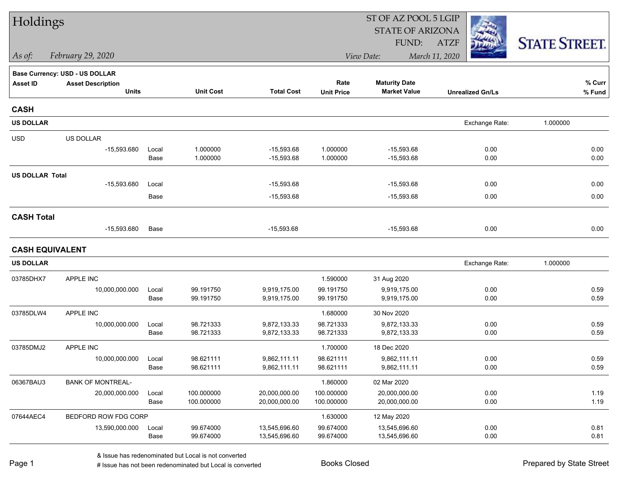| Holdings               |                                |               |                          |                                | ST OF AZ POOL 5 LGIP     |                                |                         |                      |  |  |
|------------------------|--------------------------------|---------------|--------------------------|--------------------------------|--------------------------|--------------------------------|-------------------------|----------------------|--|--|
|                        |                                |               |                          |                                |                          | <b>STATE OF ARIZONA</b>        |                         |                      |  |  |
|                        |                                |               |                          |                                |                          | FUND:                          | <b>ATZF</b>             | <b>STATE STREET.</b> |  |  |
| As of:                 | February 29, 2020              |               |                          |                                |                          | View Date:                     | March 11, 2020          |                      |  |  |
|                        | Base Currency: USD - US DOLLAR |               |                          |                                |                          |                                |                         |                      |  |  |
| <b>Asset ID</b>        | <b>Asset Description</b>       |               |                          |                                | Rate                     | <b>Maturity Date</b>           |                         | % Curr               |  |  |
|                        | <b>Units</b>                   |               | <b>Unit Cost</b>         | <b>Total Cost</b>              | <b>Unit Price</b>        | <b>Market Value</b>            | <b>Unrealized Gn/Ls</b> | % Fund               |  |  |
| <b>CASH</b>            |                                |               |                          |                                |                          |                                |                         |                      |  |  |
| <b>US DOLLAR</b>       |                                |               |                          |                                |                          |                                | Exchange Rate:          | 1.000000             |  |  |
| <b>USD</b>             | US DOLLAR                      |               |                          |                                |                          |                                |                         |                      |  |  |
|                        | $-15,593.680$                  | Local         | 1.000000                 | $-15,593.68$                   | 1.000000                 | $-15,593.68$                   | 0.00                    | 0.00                 |  |  |
|                        |                                | Base          | 1.000000                 | $-15,593.68$                   | 1.000000                 | $-15,593.68$                   | 0.00                    | 0.00                 |  |  |
| <b>US DOLLAR Total</b> |                                |               |                          |                                |                          |                                |                         |                      |  |  |
|                        | $-15,593.680$                  | Local         |                          | $-15,593.68$                   |                          | $-15,593.68$                   | 0.00                    | 0.00                 |  |  |
|                        |                                | Base          |                          | $-15,593.68$                   |                          | $-15,593.68$                   | 0.00                    | 0.00                 |  |  |
| <b>CASH Total</b>      |                                |               |                          |                                |                          |                                |                         |                      |  |  |
|                        | $-15,593.680$                  | Base          |                          | $-15,593.68$                   |                          | $-15,593.68$                   | 0.00                    | 0.00                 |  |  |
| <b>CASH EQUIVALENT</b> |                                |               |                          |                                |                          |                                |                         |                      |  |  |
| <b>US DOLLAR</b>       |                                |               |                          |                                |                          |                                | Exchange Rate:          | 1.000000             |  |  |
| 03785DHX7              | APPLE INC                      |               |                          |                                | 1.590000                 | 31 Aug 2020                    |                         |                      |  |  |
|                        | 10,000,000.000                 | Local         | 99.191750                | 9,919,175.00                   | 99.191750                | 9,919,175.00                   | 0.00                    | 0.59                 |  |  |
|                        |                                | Base          | 99.191750                | 9,919,175.00                   | 99.191750                | 9,919,175.00                   | 0.00                    | 0.59                 |  |  |
| 03785DLW4              | APPLE INC                      |               |                          |                                | 1.680000                 | 30 Nov 2020                    |                         |                      |  |  |
|                        | 10,000,000.000                 | Local         | 98.721333                | 9,872,133.33                   | 98.721333                | 9,872,133.33                   | 0.00                    | 0.59                 |  |  |
|                        |                                | Base          | 98.721333                | 9,872,133.33                   | 98.721333                | 9,872,133.33                   | 0.00                    | 0.59                 |  |  |
| 03785DMJ2              | APPLE INC                      |               |                          |                                | 1.700000                 | 18 Dec 2020                    |                         |                      |  |  |
|                        | 10,000,000.000                 | Local         | 98.621111                | 9,862,111.11                   | 98.621111                | 9,862,111.11                   | 0.00                    | 0.59                 |  |  |
|                        |                                | Base          | 98.621111                | 9,862,111.11                   | 98.621111                | 9,862,111.11                   | 0.00                    | 0.59                 |  |  |
| 06367BAU3              | <b>BANK OF MONTREAL-</b>       |               |                          |                                | 1.860000                 | 02 Mar 2020                    |                         |                      |  |  |
|                        | 20,000,000.000                 | Local<br>Base | 100.000000<br>100.000000 | 20,000,000.00<br>20,000,000.00 | 100.000000<br>100.000000 | 20,000,000.00<br>20,000,000.00 | 0.00<br>0.00            | 1.19<br>1.19         |  |  |
|                        |                                |               |                          |                                |                          |                                |                         |                      |  |  |
| 07644AEC4              | BEDFORD ROW FDG CORP           |               |                          |                                | 1.630000                 | 12 May 2020                    |                         |                      |  |  |
|                        | 13,590,000.000                 | Local<br>Base | 99.674000<br>99.674000   | 13,545,696.60<br>13,545,696.60 | 99.674000<br>99.674000   | 13,545,696.60<br>13,545,696.60 | 0.00<br>0.00            | 0.81<br>0.81         |  |  |
|                        |                                |               |                          |                                |                          |                                |                         |                      |  |  |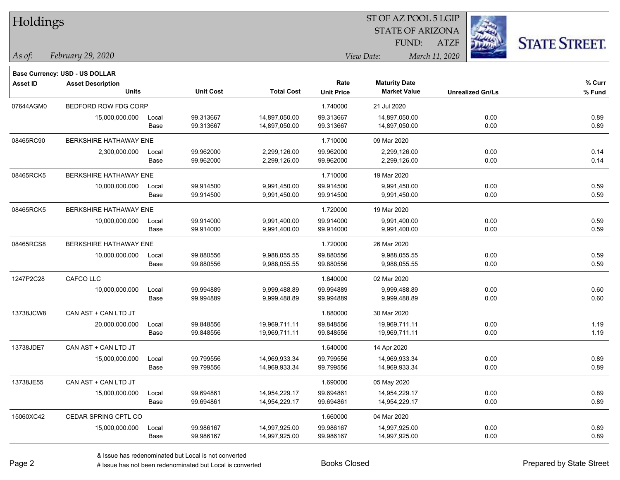| Holdings        |                                          |       |                        |                   |                           | ST OF AZ POOL 5 LGIP                        |                |                         |                      |
|-----------------|------------------------------------------|-------|------------------------|-------------------|---------------------------|---------------------------------------------|----------------|-------------------------|----------------------|
|                 |                                          |       |                        |                   |                           | <b>STATE OF ARIZONA</b>                     |                |                         |                      |
|                 |                                          |       |                        |                   |                           | FUND:                                       | <b>ATZF</b>    |                         | <b>STATE STREET.</b> |
| $\vert$ As of:  | February 29, 2020                        |       |                        |                   |                           | View Date:                                  | March 11, 2020 |                         |                      |
|                 |                                          |       |                        |                   |                           |                                             |                |                         |                      |
|                 | <b>Base Currency: USD - US DOLLAR</b>    |       |                        |                   |                           |                                             |                |                         |                      |
| <b>Asset ID</b> | <b>Asset Description</b><br><b>Units</b> |       | <b>Unit Cost</b>       | <b>Total Cost</b> | Rate<br><b>Unit Price</b> | <b>Maturity Date</b><br><b>Market Value</b> |                | <b>Unrealized Gn/Ls</b> | % Curr<br>% Fund     |
|                 |                                          |       |                        |                   |                           |                                             |                |                         |                      |
| 07644AGM0       | BEDFORD ROW FDG CORP                     |       |                        |                   | 1.740000                  | 21 Jul 2020                                 |                |                         |                      |
|                 | 15,000,000.000                           | Local | 99.313667<br>99.313667 | 14,897,050.00     | 99.313667                 | 14,897,050.00<br>14,897,050.00              |                | 0.00                    | 0.89                 |
|                 |                                          | Base  |                        | 14,897,050.00     | 99.313667                 |                                             |                | 0.00                    | 0.89                 |
| 08465RC90       | BERKSHIRE HATHAWAY ENE                   |       |                        |                   | 1.710000                  | 09 Mar 2020                                 |                |                         |                      |
|                 | 2,300,000.000                            | Local | 99.962000              | 2,299,126.00      | 99.962000                 | 2,299,126.00                                |                | 0.00                    | 0.14                 |
|                 |                                          | Base  | 99.962000              | 2,299,126.00      | 99.962000                 | 2,299,126.00                                |                | 0.00                    | 0.14                 |
| 08465RCK5       | BERKSHIRE HATHAWAY ENE                   |       |                        |                   | 1.710000                  | 19 Mar 2020                                 |                |                         |                      |
|                 | 10,000,000.000                           | Local | 99.914500              | 9,991,450.00      | 99.914500                 | 9,991,450.00                                |                | 0.00                    | 0.59                 |
|                 |                                          | Base  | 99.914500              | 9,991,450.00      | 99.914500                 | 9,991,450.00                                |                | 0.00                    | 0.59                 |
| 08465RCK5       | BERKSHIRE HATHAWAY ENE                   |       |                        |                   | 1.720000                  | 19 Mar 2020                                 |                |                         |                      |
|                 | 10,000,000.000                           | Local | 99.914000              | 9,991,400.00      | 99.914000                 | 9,991,400.00                                |                | 0.00                    | 0.59                 |
|                 |                                          | Base  | 99.914000              | 9,991,400.00      | 99.914000                 | 9,991,400.00                                |                | 0.00                    | 0.59                 |
| 08465RCS8       | BERKSHIRE HATHAWAY ENE                   |       |                        |                   | 1.720000                  | 26 Mar 2020                                 |                |                         |                      |
|                 | 10,000,000.000                           | Local | 99.880556              | 9,988,055.55      | 99.880556                 | 9,988,055.55                                |                | 0.00                    | 0.59                 |
|                 |                                          | Base  | 99.880556              | 9,988,055.55      | 99.880556                 | 9,988,055.55                                |                | 0.00                    | 0.59                 |
| 1247P2C28       | CAFCO LLC                                |       |                        |                   | 1.840000                  | 02 Mar 2020                                 |                |                         |                      |
|                 | 10,000,000.000                           | Local | 99.994889              | 9,999,488.89      | 99.994889                 | 9,999,488.89                                |                | 0.00                    | 0.60                 |
|                 |                                          | Base  | 99.994889              | 9,999,488.89      | 99.994889                 | 9,999,488.89                                |                | 0.00                    | 0.60                 |
| 13738JCW8       | CAN AST + CAN LTD JT                     |       |                        |                   | 1.880000                  | 30 Mar 2020                                 |                |                         |                      |
|                 | 20,000,000.000                           | Local | 99.848556              | 19,969,711.11     | 99.848556                 | 19,969,711.11                               |                | 0.00                    | 1.19                 |
|                 |                                          | Base  | 99.848556              | 19,969,711.11     | 99.848556                 | 19,969,711.11                               |                | 0.00                    | 1.19                 |
| 13738JDE7       | CAN AST + CAN LTD JT                     |       |                        |                   | 1.640000                  | 14 Apr 2020                                 |                |                         |                      |
|                 | 15,000,000.000                           | Local | 99.799556              | 14,969,933.34     | 99.799556                 | 14,969,933.34                               |                | 0.00                    | 0.89                 |
|                 |                                          | Base  | 99.799556              | 14,969,933.34     | 99.799556                 | 14,969,933.34                               |                | 0.00                    | 0.89                 |
| 13738JE55       | CAN AST + CAN LTD JT                     |       |                        |                   | 1.690000                  | 05 May 2020                                 |                |                         |                      |
|                 | 15,000,000.000                           | Local | 99.694861              | 14,954,229.17     | 99.694861                 | 14,954,229.17                               |                | 0.00                    | 0.89                 |
|                 |                                          | Base  | 99.694861              | 14,954,229.17     | 99.694861                 | 14,954,229.17                               |                | 0.00                    | 0.89                 |
| 15060XC42       | CEDAR SPRING CPTL CO                     |       |                        |                   | 1.660000                  | 04 Mar 2020                                 |                |                         |                      |
|                 | 15,000,000.000                           | Local | 99.986167              | 14,997,925.00     | 99.986167                 | 14,997,925.00                               |                | 0.00                    | 0.89                 |
|                 |                                          | Base  | 99.986167              | 14,997,925.00     | 99.986167                 | 14,997,925.00                               |                | 0.00                    | 0.89                 |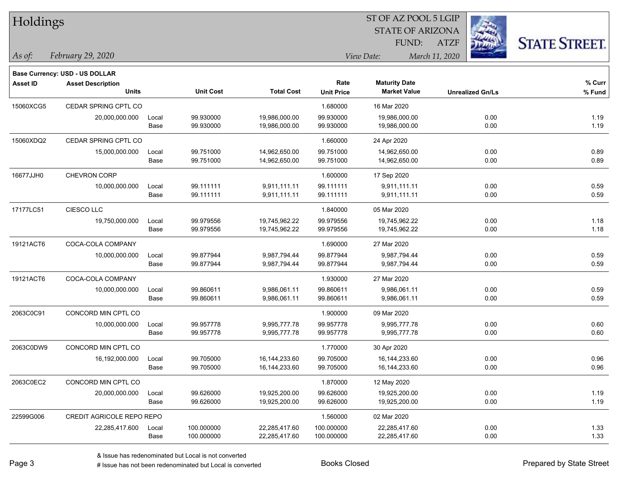| Holdings        |                                |       |                  |                   | ST OF AZ POOL 5 LGIP |                         |                         |                      |  |  |
|-----------------|--------------------------------|-------|------------------|-------------------|----------------------|-------------------------|-------------------------|----------------------|--|--|
|                 |                                |       |                  |                   |                      | <b>STATE OF ARIZONA</b> |                         |                      |  |  |
|                 |                                |       |                  |                   |                      | FUND:                   | <b>ATZF</b>             | <b>STATE STREET.</b> |  |  |
| As of:          | February 29, 2020              |       |                  |                   |                      | View Date:              | March 11, 2020          |                      |  |  |
|                 | Base Currency: USD - US DOLLAR |       |                  |                   |                      |                         |                         |                      |  |  |
| <b>Asset ID</b> | <b>Asset Description</b>       |       |                  |                   | Rate                 | <b>Maturity Date</b>    |                         | % Curr               |  |  |
|                 | <b>Units</b>                   |       | <b>Unit Cost</b> | <b>Total Cost</b> | <b>Unit Price</b>    | <b>Market Value</b>     | <b>Unrealized Gn/Ls</b> | % Fund               |  |  |
| 15060XCG5       | CEDAR SPRING CPTL CO           |       |                  |                   | 1.680000             | 16 Mar 2020             |                         |                      |  |  |
|                 | 20,000,000.000                 | Local | 99.930000        | 19,986,000.00     | 99.930000            | 19,986,000.00           | 0.00                    | 1.19                 |  |  |
|                 |                                | Base  | 99.930000        | 19,986,000.00     | 99.930000            | 19,986,000.00           | 0.00                    | 1.19                 |  |  |
| 15060XDQ2       | CEDAR SPRING CPTL CO           |       |                  |                   | 1.660000             | 24 Apr 2020             |                         |                      |  |  |
|                 | 15,000,000.000                 | Local | 99.751000        | 14,962,650.00     | 99.751000            | 14,962,650.00           | 0.00                    | 0.89                 |  |  |
|                 |                                | Base  | 99.751000        | 14,962,650.00     | 99.751000            | 14,962,650.00           | 0.00                    | 0.89                 |  |  |
| 16677JJH0       | <b>CHEVRON CORP</b>            |       |                  |                   | 1.600000             | 17 Sep 2020             |                         |                      |  |  |
|                 | 10,000,000.000                 | Local | 99.111111        | 9,911,111.11      | 99.111111            | 9,911,111.11            | 0.00                    | 0.59                 |  |  |
|                 |                                | Base  | 99.111111        | 9,911,111.11      | 99.111111            | 9,911,111.11            | 0.00                    | 0.59                 |  |  |
| 17177LC51       | CIESCO LLC                     |       |                  |                   | 1.840000             | 05 Mar 2020             |                         |                      |  |  |
|                 | 19,750,000.000                 | Local | 99.979556        | 19,745,962.22     | 99.979556            | 19,745,962.22           | 0.00                    | 1.18                 |  |  |
|                 |                                | Base  | 99.979556        | 19,745,962.22     | 99.979556            | 19,745,962.22           | 0.00                    | 1.18                 |  |  |
| 19121ACT6       | COCA-COLA COMPANY              |       |                  |                   | 1.690000             | 27 Mar 2020             |                         |                      |  |  |
|                 | 10,000,000.000                 | Local | 99.877944        | 9,987,794.44      | 99.877944            | 9,987,794.44            | 0.00                    | 0.59                 |  |  |
|                 |                                | Base  | 99.877944        | 9,987,794.44      | 99.877944            | 9,987,794.44            | 0.00                    | 0.59                 |  |  |
| 19121ACT6       | COCA-COLA COMPANY              |       |                  |                   | 1.930000             | 27 Mar 2020             |                         |                      |  |  |
|                 | 10,000,000.000                 | Local | 99.860611        | 9,986,061.11      | 99.860611            | 9,986,061.11            | 0.00                    | 0.59                 |  |  |
|                 |                                | Base  | 99.860611        | 9,986,061.11      | 99.860611            | 9,986,061.11            | 0.00                    | 0.59                 |  |  |
| 2063C0C91       | CONCORD MIN CPTL CO            |       |                  |                   | 1.900000             | 09 Mar 2020             |                         |                      |  |  |
|                 | 10,000,000.000                 | Local | 99.957778        | 9,995,777.78      | 99.957778            | 9,995,777.78            | 0.00                    | 0.60                 |  |  |
|                 |                                | Base  | 99.957778        | 9,995,777.78      | 99.957778            | 9,995,777.78            | 0.00                    | 0.60                 |  |  |
| 2063C0DW9       | CONCORD MIN CPTL CO            |       |                  |                   | 1.770000             | 30 Apr 2020             |                         |                      |  |  |
|                 | 16,192,000.000                 | Local | 99.705000        | 16,144,233.60     | 99.705000            | 16,144,233.60           | 0.00                    | 0.96                 |  |  |
|                 |                                | Base  | 99.705000        | 16, 144, 233.60   | 99.705000            | 16,144,233.60           | 0.00                    | 0.96                 |  |  |
| 2063C0EC2       | CONCORD MIN CPTL CO            |       |                  |                   | 1.870000             | 12 May 2020             |                         |                      |  |  |
|                 | 20,000,000.000                 | Local | 99.626000        | 19,925,200.00     | 99.626000            | 19,925,200.00           | 0.00                    | 1.19                 |  |  |
|                 |                                | Base  | 99.626000        | 19,925,200.00     | 99.626000            | 19,925,200.00           | 0.00                    | 1.19                 |  |  |
| 22599G006       | CREDIT AGRICOLE REPO REPO      |       |                  |                   | 1.560000             | 02 Mar 2020             |                         |                      |  |  |
|                 | 22,285,417.600                 | Local | 100.000000       | 22,285,417.60     | 100.000000           | 22,285,417.60           | 0.00                    | 1.33                 |  |  |
|                 |                                | Base  | 100.000000       | 22,285,417.60     | 100.000000           | 22,285,417.60           | 0.00                    | 1.33                 |  |  |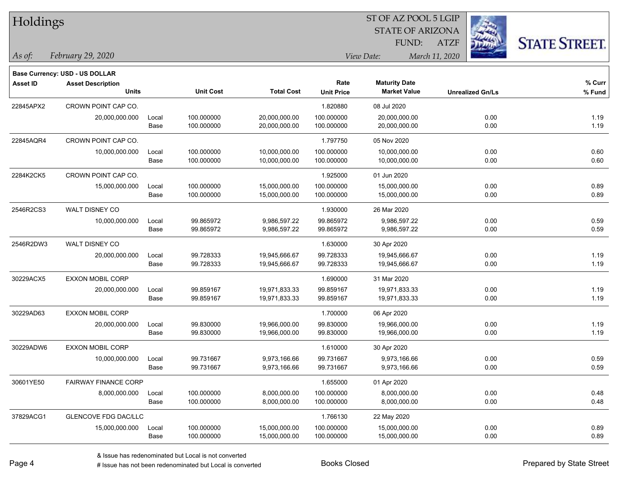| Holdings        |                                       |       |                  |                   | ST OF AZ POOL 5 LGIP |                         |      |                         |                      |  |
|-----------------|---------------------------------------|-------|------------------|-------------------|----------------------|-------------------------|------|-------------------------|----------------------|--|
|                 |                                       |       |                  |                   |                      | <b>STATE OF ARIZONA</b> |      |                         |                      |  |
|                 |                                       |       |                  |                   |                      | FUND:                   | ATZF |                         | <b>STATE STREET.</b> |  |
| As of:          | February 29, 2020                     |       |                  |                   | View Date:           |                         |      |                         |                      |  |
|                 | <b>Base Currency: USD - US DOLLAR</b> |       |                  |                   |                      |                         |      |                         |                      |  |
| <b>Asset ID</b> | <b>Asset Description</b>              |       |                  |                   | Rate                 | <b>Maturity Date</b>    |      |                         | % Curr               |  |
|                 | <b>Units</b>                          |       | <b>Unit Cost</b> | <b>Total Cost</b> | <b>Unit Price</b>    | <b>Market Value</b>     |      | <b>Unrealized Gn/Ls</b> | % Fund               |  |
| 22845APX2       | CROWN POINT CAP CO.                   |       |                  |                   | 1.820880             | 08 Jul 2020             |      |                         |                      |  |
|                 | 20,000,000.000                        | Local | 100.000000       | 20,000,000.00     | 100.000000           | 20,000,000.00           |      | 0.00                    | 1.19                 |  |
|                 |                                       | Base  | 100.000000       | 20,000,000.00     | 100.000000           | 20,000,000.00           |      | 0.00                    | 1.19                 |  |
| 22845AQR4       | CROWN POINT CAP CO.                   |       |                  |                   | 1.797750             | 05 Nov 2020             |      |                         |                      |  |
|                 | 10,000,000.000                        | Local | 100.000000       | 10,000,000.00     | 100.000000           | 10,000,000.00           |      | 0.00                    | 0.60                 |  |
|                 |                                       | Base  | 100.000000       | 10,000,000.00     | 100.000000           | 10,000,000.00           |      | 0.00                    | 0.60                 |  |
| 2284K2CK5       | CROWN POINT CAP CO.                   |       |                  |                   | 1.925000             | 01 Jun 2020             |      |                         |                      |  |
|                 | 15,000,000.000                        | Local | 100.000000       | 15,000,000.00     | 100.000000           | 15,000,000.00           |      | 0.00                    | 0.89                 |  |
|                 |                                       | Base  | 100.000000       | 15,000,000.00     | 100.000000           | 15,000,000.00           |      | 0.00                    | 0.89                 |  |
| 2546R2CS3       | WALT DISNEY CO                        |       |                  |                   | 1.930000             | 26 Mar 2020             |      |                         |                      |  |
|                 | 10,000,000.000                        | Local | 99.865972        | 9,986,597.22      | 99.865972            | 9,986,597.22            |      | 0.00                    | 0.59                 |  |
|                 |                                       | Base  | 99.865972        | 9,986,597.22      | 99.865972            | 9,986,597.22            |      | 0.00                    | 0.59                 |  |
| 2546R2DW3       | WALT DISNEY CO                        |       |                  |                   | 1.630000             | 30 Apr 2020             |      |                         |                      |  |
|                 | 20,000,000.000                        | Local | 99.728333        | 19,945,666.67     | 99.728333            | 19,945,666.67           |      | 0.00                    | 1.19                 |  |
|                 |                                       | Base  | 99.728333        | 19,945,666.67     | 99.728333            | 19,945,666.67           |      | 0.00                    | 1.19                 |  |
| 30229ACX5       | EXXON MOBIL CORP                      |       |                  |                   | 1.690000             | 31 Mar 2020             |      |                         |                      |  |
|                 | 20,000,000.000                        | Local | 99.859167        | 19,971,833.33     | 99.859167            | 19,971,833.33           |      | 0.00                    | 1.19                 |  |
|                 |                                       | Base  | 99.859167        | 19,971,833.33     | 99.859167            | 19,971,833.33           |      | 0.00                    | 1.19                 |  |
| 30229AD63       | <b>EXXON MOBIL CORP</b>               |       |                  |                   | 1.700000             | 06 Apr 2020             |      |                         |                      |  |
|                 | 20,000,000.000                        | Local | 99.830000        | 19,966,000.00     | 99.830000            | 19,966,000.00           |      | 0.00                    | 1.19                 |  |
|                 |                                       | Base  | 99.830000        | 19,966,000.00     | 99.830000            | 19,966,000.00           |      | 0.00                    | 1.19                 |  |
| 30229ADW6       | <b>EXXON MOBIL CORP</b>               |       |                  |                   | 1.610000             | 30 Apr 2020             |      |                         |                      |  |
|                 | 10,000,000.000                        | Local | 99.731667        | 9,973,166.66      | 99.731667            | 9,973,166.66            |      | 0.00                    | 0.59                 |  |
|                 |                                       | Base  | 99.731667        | 9,973,166.66      | 99.731667            | 9,973,166.66            |      | 0.00                    | 0.59                 |  |
| 30601YE50       | FAIRWAY FINANCE CORP                  |       |                  |                   | 1.655000             | 01 Apr 2020             |      |                         |                      |  |
|                 | 8,000,000.000                         | Local | 100.000000       | 8,000,000.00      | 100.000000           | 8,000,000.00            |      | 0.00                    | 0.48                 |  |
|                 |                                       | Base  | 100.000000       | 8,000,000.00      | 100.000000           | 8,000,000.00            |      | 0.00                    | 0.48                 |  |
| 37829ACG1       | GLENCOVE FDG DAC/LLC                  |       |                  |                   | 1.766130             | 22 May 2020             |      |                         |                      |  |
|                 | 15,000,000.000                        | Local | 100.000000       | 15,000,000.00     | 100.000000           | 15,000,000.00           |      | 0.00                    | 0.89                 |  |

-

Base 100.000000 15,000,000.00 100.000000 15,000,000.00 0.00 0.89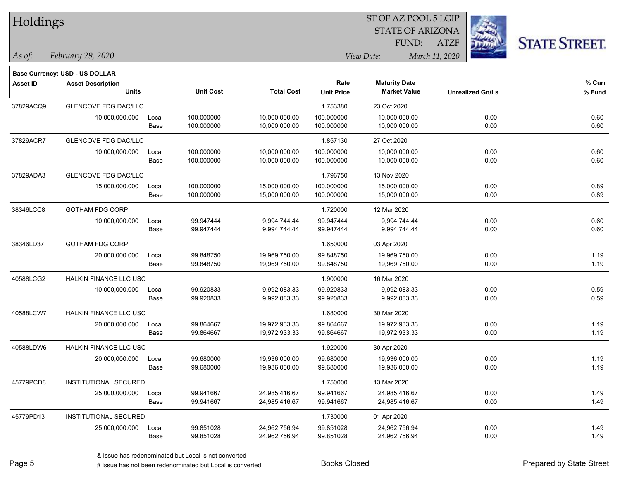| Holdings        |                                |       |                  |                   | ST OF AZ POOL 5 LGIP |                         |                |                         |                      |  |
|-----------------|--------------------------------|-------|------------------|-------------------|----------------------|-------------------------|----------------|-------------------------|----------------------|--|
|                 |                                |       |                  |                   |                      | <b>STATE OF ARIZONA</b> |                |                         |                      |  |
|                 |                                |       |                  |                   |                      | FUND:                   | ATZF           |                         | <b>STATE STREET.</b> |  |
| As of:          | February 29, 2020              |       |                  |                   |                      | View Date:              | March 11, 2020 |                         |                      |  |
|                 | Base Currency: USD - US DOLLAR |       |                  |                   |                      |                         |                |                         |                      |  |
| <b>Asset ID</b> | <b>Asset Description</b>       |       |                  |                   | Rate                 | <b>Maturity Date</b>    |                |                         | % Curr               |  |
|                 | <b>Units</b>                   |       | <b>Unit Cost</b> | <b>Total Cost</b> | <b>Unit Price</b>    | <b>Market Value</b>     |                | <b>Unrealized Gn/Ls</b> | % Fund               |  |
| 37829ACQ9       | GLENCOVE FDG DAC/LLC           |       |                  |                   | 1.753380             | 23 Oct 2020             |                |                         |                      |  |
|                 | 10,000,000.000                 | Local | 100.000000       | 10,000,000.00     | 100.000000           | 10,000,000.00           |                | 0.00                    | 0.60                 |  |
|                 |                                | Base  | 100.000000       | 10,000,000.00     | 100.000000           | 10,000,000.00           |                | 0.00                    | 0.60                 |  |
| 37829ACR7       | <b>GLENCOVE FDG DAC/LLC</b>    |       |                  |                   | 1.857130             | 27 Oct 2020             |                |                         |                      |  |
|                 | 10,000,000.000                 | Local | 100.000000       | 10,000,000.00     | 100.000000           | 10,000,000.00           |                | 0.00                    | 0.60                 |  |
|                 |                                | Base  | 100.000000       | 10,000,000.00     | 100.000000           | 10,000,000.00           |                | 0.00                    | 0.60                 |  |
| 37829ADA3       | <b>GLENCOVE FDG DAC/LLC</b>    |       |                  |                   | 1.796750             | 13 Nov 2020             |                |                         |                      |  |
|                 | 15,000,000.000                 | Local | 100.000000       | 15,000,000.00     | 100.000000           | 15,000,000.00           |                | 0.00                    | 0.89                 |  |
|                 |                                | Base  | 100.000000       | 15,000,000.00     | 100.000000           | 15,000,000.00           |                | 0.00                    | 0.89                 |  |
| 38346LCC8       | <b>GOTHAM FDG CORP</b>         |       |                  |                   | 1.720000             | 12 Mar 2020             |                |                         |                      |  |
|                 | 10,000,000.000                 | Local | 99.947444        | 9,994,744.44      | 99.947444            | 9,994,744.44            |                | 0.00                    | 0.60                 |  |
|                 |                                | Base  | 99.947444        | 9,994,744.44      | 99.947444            | 9,994,744.44            |                | 0.00                    | 0.60                 |  |
| 38346LD37       | <b>GOTHAM FDG CORP</b>         |       |                  |                   | 1.650000             | 03 Apr 2020             |                |                         |                      |  |
|                 | 20,000,000.000                 | Local | 99.848750        | 19,969,750.00     | 99.848750            | 19,969,750.00           |                | 0.00                    | 1.19                 |  |
|                 |                                | Base  | 99.848750        | 19,969,750.00     | 99.848750            | 19,969,750.00           |                | 0.00                    | 1.19                 |  |
| 40588LCG2       | HALKIN FINANCE LLC USC         |       |                  |                   | 1.900000             | 16 Mar 2020             |                |                         |                      |  |
|                 | 10,000,000.000                 | Local | 99.920833        | 9,992,083.33      | 99.920833            | 9,992,083.33            |                | 0.00                    | 0.59                 |  |
|                 |                                | Base  | 99.920833        | 9,992,083.33      | 99.920833            | 9,992,083.33            |                | 0.00                    | 0.59                 |  |
| 40588LCW7       | <b>HALKIN FINANCE LLC USC</b>  |       |                  |                   | 1.680000             | 30 Mar 2020             |                |                         |                      |  |
|                 | 20,000,000.000                 | Local | 99.864667        | 19,972,933.33     | 99.864667            | 19,972,933.33           |                | 0.00                    | 1.19                 |  |
|                 |                                | Base  | 99.864667        | 19,972,933.33     | 99.864667            | 19,972,933.33           |                | 0.00                    | 1.19                 |  |
| 40588LDW6       | HALKIN FINANCE LLC USC         |       |                  |                   | 1.920000             | 30 Apr 2020             |                |                         |                      |  |
|                 | 20,000,000.000                 | Local | 99.680000        | 19,936,000.00     | 99.680000            | 19,936,000.00           |                | 0.00                    | 1.19                 |  |
|                 |                                | Base  | 99.680000        | 19,936,000.00     | 99.680000            | 19,936,000.00           |                | 0.00                    | 1.19                 |  |
| 45779PCD8       | INSTITUTIONAL SECURED          |       |                  |                   | 1.750000             | 13 Mar 2020             |                |                         |                      |  |
|                 | 25,000,000.000                 | Local | 99.941667        | 24,985,416.67     | 99.941667            | 24,985,416.67           |                | 0.00                    | 1.49                 |  |
|                 |                                | Base  | 99.941667        | 24,985,416.67     | 99.941667            | 24,985,416.67           |                | 0.00                    | 1.49                 |  |
| 45779PD13       | <b>INSTITUTIONAL SECURED</b>   |       |                  |                   | 1.730000             | 01 Apr 2020             |                |                         |                      |  |
|                 | 25,000,000.000                 | Local | 99.851028        | 24,962,756.94     | 99.851028            | 24,962,756.94           |                | 0.00                    | 1.49                 |  |
|                 |                                | Base  | 99.851028        | 24,962,756.94     | 99.851028            | 24,962,756.94           |                | 0.00                    | 1.49                 |  |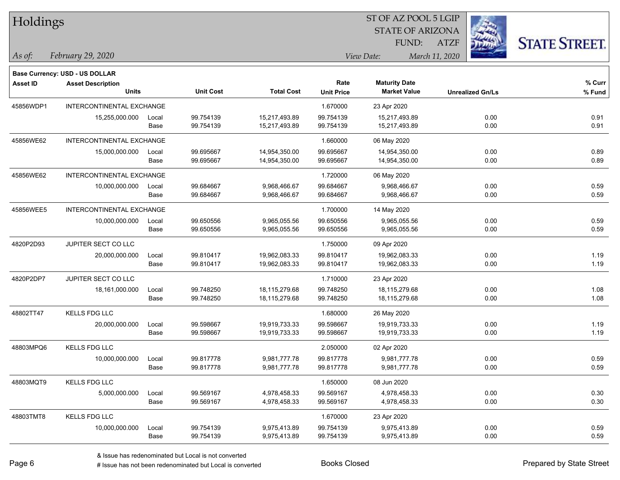| Holdings        |                                       |       |                  |                   | 51 OF AZ POOL 5 LGIP |                              |             |                         |                      |  |  |
|-----------------|---------------------------------------|-------|------------------|-------------------|----------------------|------------------------------|-------------|-------------------------|----------------------|--|--|
|                 |                                       |       |                  |                   |                      | <b>STATE OF ARIZONA</b>      |             |                         |                      |  |  |
|                 |                                       |       |                  |                   |                      | FUND:                        | <b>ATZF</b> |                         | <b>STATE STREET.</b> |  |  |
| As of:          | February 29, 2020                     |       |                  |                   |                      | View Date:<br>March 11, 2020 |             |                         |                      |  |  |
|                 | <b>Base Currency: USD - US DOLLAR</b> |       |                  |                   |                      |                              |             |                         |                      |  |  |
| <b>Asset ID</b> | <b>Asset Description</b>              |       |                  |                   | Rate                 | <b>Maturity Date</b>         |             |                         | % Curr               |  |  |
|                 | <b>Units</b>                          |       | <b>Unit Cost</b> | <b>Total Cost</b> | <b>Unit Price</b>    | <b>Market Value</b>          |             | <b>Unrealized Gn/Ls</b> | % Fund               |  |  |
| 45856WDP1       | INTERCONTINENTAL EXCHANGE             |       |                  |                   | 1.670000             | 23 Apr 2020                  |             |                         |                      |  |  |
|                 | 15,255,000.000                        | Local | 99.754139        | 15,217,493.89     | 99.754139            | 15,217,493.89                |             | 0.00                    | 0.91                 |  |  |
|                 |                                       | Base  | 99.754139        | 15,217,493.89     | 99.754139            | 15,217,493.89                |             | 0.00                    | 0.91                 |  |  |
| 45856WE62       | INTERCONTINENTAL EXCHANGE             |       |                  |                   | 1.660000             | 06 May 2020                  |             |                         |                      |  |  |
|                 | 15,000,000.000                        | Local | 99.695667        | 14,954,350.00     | 99.695667            | 14,954,350.00                |             | 0.00                    | 0.89                 |  |  |
|                 |                                       | Base  | 99.695667        | 14,954,350.00     | 99.695667            | 14,954,350.00                |             | 0.00                    | 0.89                 |  |  |
| 45856WE62       | INTERCONTINENTAL EXCHANGE             |       |                  |                   | 1.720000             | 06 May 2020                  |             |                         |                      |  |  |
|                 | 10,000,000.000                        | Local | 99.684667        | 9,968,466.67      | 99.684667            | 9,968,466.67                 |             | 0.00                    | 0.59                 |  |  |
|                 |                                       | Base  | 99.684667        | 9,968,466.67      | 99.684667            | 9,968,466.67                 |             | 0.00                    | 0.59                 |  |  |
| 45856WEE5       | INTERCONTINENTAL EXCHANGE             |       |                  |                   | 1.700000             | 14 May 2020                  |             |                         |                      |  |  |
|                 | 10,000,000.000                        | Local | 99.650556        | 9,965,055.56      | 99.650556            | 9,965,055.56                 |             | 0.00                    | 0.59                 |  |  |
|                 |                                       | Base  | 99.650556        | 9,965,055.56      | 99.650556            | 9,965,055.56                 |             | 0.00                    | 0.59                 |  |  |
| 4820P2D93       | <b>JUPITER SECT CO LLC</b>            |       |                  |                   | 1.750000             | 09 Apr 2020                  |             |                         |                      |  |  |
|                 | 20,000,000.000                        | Local | 99.810417        | 19,962,083.33     | 99.810417            | 19,962,083.33                |             | 0.00                    | 1.19                 |  |  |
|                 |                                       | Base  | 99.810417        | 19,962,083.33     | 99.810417            | 19,962,083.33                |             | 0.00                    | 1.19                 |  |  |
| 4820P2DP7       | JUPITER SECT CO LLC                   |       |                  |                   | 1.710000             | 23 Apr 2020                  |             |                         |                      |  |  |
|                 | 18,161,000.000                        | Local | 99.748250        | 18,115,279.68     | 99.748250            | 18,115,279.68                |             | 0.00                    | 1.08                 |  |  |
|                 |                                       | Base  | 99.748250        | 18,115,279.68     | 99.748250            | 18,115,279.68                |             | 0.00                    | 1.08                 |  |  |
| 48802TT47       | <b>KELLS FDG LLC</b>                  |       |                  |                   | 1.680000             | 26 May 2020                  |             |                         |                      |  |  |
|                 | 20,000,000.000                        | Local | 99.598667        | 19,919,733.33     | 99.598667            | 19,919,733.33                |             | 0.00                    | 1.19                 |  |  |
|                 |                                       | Base  | 99.598667        | 19,919,733.33     | 99.598667            | 19,919,733.33                |             | 0.00                    | 1.19                 |  |  |
| 48803MPQ6       | <b>KELLS FDG LLC</b>                  |       |                  |                   | 2.050000             | 02 Apr 2020                  |             |                         |                      |  |  |
|                 | 10,000,000.000                        | Local | 99.817778        | 9,981,777.78      | 99.817778            | 9,981,777.78                 |             | 0.00                    | 0.59                 |  |  |
|                 |                                       | Base  | 99.817778        | 9,981,777.78      | 99.817778            | 9,981,777.78                 |             | 0.00                    | 0.59                 |  |  |
| 48803MQT9       | <b>KELLS FDG LLC</b>                  |       |                  |                   | 1.650000             | 08 Jun 2020                  |             |                         |                      |  |  |
|                 | 5,000,000.000                         | Local | 99.569167        | 4,978,458.33      | 99.569167            | 4,978,458.33                 |             | 0.00                    | 0.30                 |  |  |
|                 |                                       | Base  | 99.569167        | 4,978,458.33      | 99.569167            | 4,978,458.33                 |             | 0.00                    | 0.30                 |  |  |
| 48803TMT8       | <b>KELLS FDG LLC</b>                  |       |                  |                   | 1.670000             | 23 Apr 2020                  |             |                         |                      |  |  |
|                 | 10,000,000.000                        | Local | 99.754139        | 9,975,413.89      | 99.754139            | 9,975,413.89                 |             | 0.00                    | 0.59                 |  |  |
|                 |                                       | Base  | 99.754139        | 9,975,413.89      | 99.754139            | 9,975,413.89                 |             | 0.00                    | 0.59                 |  |  |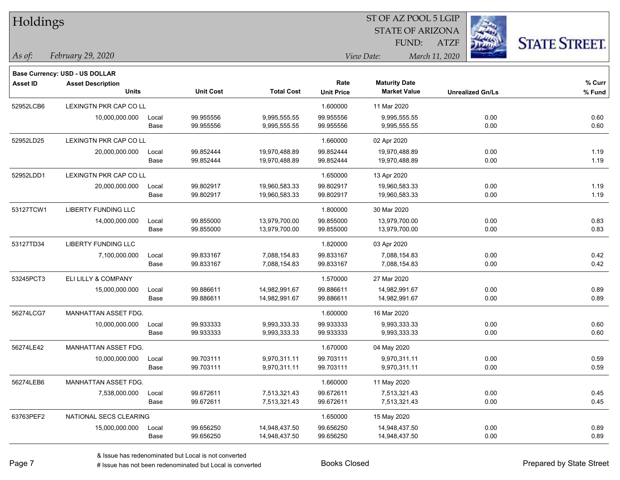| Holdings        |                                          |               |                        |                              |                           | ST OF AZ POOL 5 LGIP                        |                         |                      |
|-----------------|------------------------------------------|---------------|------------------------|------------------------------|---------------------------|---------------------------------------------|-------------------------|----------------------|
|                 |                                          |               |                        |                              |                           | <b>STATE OF ARIZONA</b>                     |                         |                      |
|                 |                                          |               |                        |                              |                           | FUND:                                       | <b>ATZF</b>             | <b>STATE STREET.</b> |
| $\vert$ As of:  | February 29, 2020                        |               |                        |                              |                           | View Date:                                  | March 11, 2020          |                      |
|                 |                                          |               |                        |                              |                           |                                             |                         |                      |
|                 | <b>Base Currency: USD - US DOLLAR</b>    |               |                        |                              |                           |                                             |                         |                      |
| <b>Asset ID</b> | <b>Asset Description</b><br><b>Units</b> |               | <b>Unit Cost</b>       | <b>Total Cost</b>            | Rate<br><b>Unit Price</b> | <b>Maturity Date</b><br><b>Market Value</b> | <b>Unrealized Gn/Ls</b> | $%$ Curr<br>% Fund   |
|                 |                                          |               |                        |                              |                           |                                             |                         |                      |
| 52952LCB6       | <b>LEXINGTN PKR CAP CO LL</b>            |               |                        |                              | 1.600000                  | 11 Mar 2020                                 |                         |                      |
|                 | 10,000,000.000                           | Local<br>Base | 99.955556<br>99.955556 | 9,995,555.55<br>9,995,555.55 | 99.955556<br>99.955556    | 9,995,555.55<br>9,995,555.55                | 0.00<br>0.00            | 0.60<br>0.60         |
|                 |                                          |               |                        |                              |                           |                                             |                         |                      |
| 52952LD25       | LEXINGTN PKR CAP CO LL                   |               |                        |                              | 1.660000                  | 02 Apr 2020                                 |                         |                      |
|                 | 20,000,000.000                           | Local         | 99.852444              | 19,970,488.89                | 99.852444                 | 19,970,488.89                               | 0.00                    | 1.19                 |
|                 |                                          | Base          | 99.852444              | 19,970,488.89                | 99.852444                 | 19,970,488.89                               | 0.00                    | 1.19                 |
| 52952LDD1       | LEXINGTN PKR CAP CO LL                   |               |                        |                              | 1.650000                  | 13 Apr 2020                                 |                         |                      |
|                 | 20,000,000.000                           | Local         | 99.802917              | 19,960,583.33                | 99.802917                 | 19,960,583.33                               | 0.00                    | 1.19                 |
|                 |                                          | Base          | 99.802917              | 19,960,583.33                | 99.802917                 | 19,960,583.33                               | 0.00                    | 1.19                 |
| 53127TCW1       | LIBERTY FUNDING LLC                      |               |                        |                              | 1.800000                  | 30 Mar 2020                                 |                         |                      |
|                 | 14,000,000.000                           | Local         | 99.855000              | 13,979,700.00                | 99.855000                 | 13,979,700.00                               | 0.00                    | 0.83                 |
|                 |                                          | Base          | 99.855000              | 13,979,700.00                | 99.855000                 | 13,979,700.00                               | 0.00                    | 0.83                 |
| 53127TD34       | <b>LIBERTY FUNDING LLC</b>               |               |                        |                              | 1.820000                  | 03 Apr 2020                                 |                         |                      |
|                 | 7,100,000.000                            | Local         | 99.833167              | 7,088,154.83                 | 99.833167                 | 7,088,154.83                                | 0.00                    | 0.42                 |
|                 |                                          | Base          | 99.833167              | 7,088,154.83                 | 99.833167                 | 7,088,154.83                                | 0.00                    | 0.42                 |
| 53245PCT3       | ELI LILLY & COMPANY                      |               |                        |                              | 1.570000                  | 27 Mar 2020                                 |                         |                      |
|                 | 15,000,000.000                           | Local         | 99.886611              | 14,982,991.67                | 99.886611                 | 14,982,991.67                               | 0.00                    | 0.89                 |
|                 |                                          | Base          | 99.886611              | 14,982,991.67                | 99.886611                 | 14,982,991.67                               | 0.00                    | 0.89                 |
| 56274LCG7       | MANHATTAN ASSET FDG.                     |               |                        |                              | 1.600000                  | 16 Mar 2020                                 |                         |                      |
|                 | 10,000,000.000                           | Local         | 99.933333              | 9,993,333.33                 | 99.933333                 | 9,993,333.33                                | 0.00                    | 0.60                 |
|                 |                                          | Base          | 99.933333              | 9,993,333.33                 | 99.933333                 | 9,993,333.33                                | 0.00                    | 0.60                 |
| 56274LE42       | MANHATTAN ASSET FDG.                     |               |                        |                              | 1.670000                  | 04 May 2020                                 |                         |                      |
|                 | 10,000,000.000                           | Local         | 99.703111              | 9,970,311.11                 | 99.703111                 | 9,970,311.11                                | 0.00                    | 0.59                 |
|                 |                                          | Base          | 99.703111              | 9,970,311.11                 | 99.703111                 | 9,970,311.11                                | 0.00                    | 0.59                 |
| 56274LEB6       | MANHATTAN ASSET FDG.                     |               |                        |                              | 1.660000                  | 11 May 2020                                 |                         |                      |
|                 | 7,538,000.000                            | Local         | 99.672611              | 7,513,321.43                 | 99.672611                 | 7,513,321.43                                | 0.00                    | 0.45                 |
|                 |                                          | Base          | 99.672611              | 7,513,321.43                 | 99.672611                 | 7,513,321.43                                | 0.00                    | 0.45                 |
| 63763PEF2       | NATIONAL SECS CLEARING                   |               |                        |                              | 1.650000                  | 15 May 2020                                 |                         |                      |
|                 | 15,000,000.000                           | Local         | 99.656250              | 14,948,437.50                | 99.656250                 | 14,948,437.50                               | 0.00                    | 0.89                 |
|                 |                                          | Base          | 99.656250              | 14,948,437.50                | 99.656250                 | 14,948,437.50                               | 0.00                    | 0.89                 |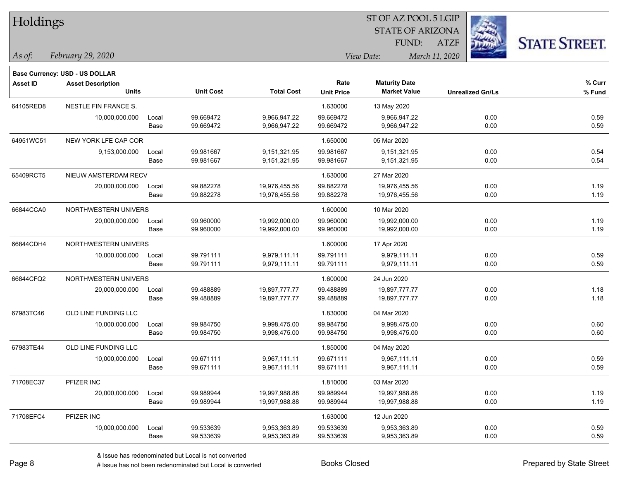| Holdings        |                                          |       |                  |                   | ST OF AZ POOL 5 LGIP |                                             |                         |                      |  |
|-----------------|------------------------------------------|-------|------------------|-------------------|----------------------|---------------------------------------------|-------------------------|----------------------|--|
|                 |                                          |       |                  |                   |                      | <b>STATE OF ARIZONA</b>                     |                         |                      |  |
|                 |                                          |       |                  |                   |                      | FUND:                                       | <b>ATZF</b>             | <b>STATE STREET.</b> |  |
| As of:          | February 29, 2020                        |       |                  |                   |                      | View Date:                                  | March 11, 2020          |                      |  |
|                 |                                          |       |                  |                   |                      |                                             |                         |                      |  |
|                 | <b>Base Currency: USD - US DOLLAR</b>    |       |                  |                   | Rate                 |                                             |                         | $%$ Curr             |  |
| <b>Asset ID</b> | <b>Asset Description</b><br><b>Units</b> |       | <b>Unit Cost</b> | <b>Total Cost</b> | <b>Unit Price</b>    | <b>Maturity Date</b><br><b>Market Value</b> | <b>Unrealized Gn/Ls</b> | % Fund               |  |
| 64105RED8       | <b>NESTLE FIN FRANCE S.</b>              |       |                  |                   | 1.630000             | 13 May 2020                                 |                         |                      |  |
|                 | 10,000,000.000                           | Local | 99.669472        | 9.966.947.22      | 99.669472            | 9,966,947.22                                | 0.00                    | 0.59                 |  |
|                 |                                          | Base  | 99.669472        | 9,966,947.22      | 99.669472            | 9,966,947.22                                | 0.00                    | 0.59                 |  |
| 64951WC51       | NEW YORK LFE CAP COR                     |       |                  |                   | 1.650000             | 05 Mar 2020                                 |                         |                      |  |
|                 | 9,153,000.000                            | Local | 99.981667        | 9,151,321.95      | 99.981667            | 9,151,321.95                                | 0.00                    | 0.54                 |  |
|                 |                                          | Base  | 99.981667        | 9,151,321.95      | 99.981667            | 9,151,321.95                                | 0.00                    | 0.54                 |  |
| 65409RCT5       | NIEUW AMSTERDAM RECV                     |       |                  |                   | 1.630000             | 27 Mar 2020                                 |                         |                      |  |
|                 | 20,000,000.000                           | Local | 99.882278        | 19,976,455.56     | 99.882278            | 19,976,455.56                               | 0.00                    | 1.19                 |  |
|                 |                                          | Base  | 99.882278        | 19,976,455.56     | 99.882278            | 19,976,455.56                               | 0.00                    | 1.19                 |  |
| 66844CCA0       | NORTHWESTERN UNIVERS                     |       |                  |                   | 1.600000             | 10 Mar 2020                                 |                         |                      |  |
|                 | 20,000,000.000                           | Local | 99.960000        | 19,992,000.00     | 99.960000            | 19,992,000.00                               | 0.00                    | 1.19                 |  |
|                 |                                          | Base  | 99.960000        | 19,992,000.00     | 99.960000            | 19,992,000.00                               | 0.00                    | 1.19                 |  |
| 66844CDH4       | NORTHWESTERN UNIVERS                     |       |                  |                   | 1.600000             | 17 Apr 2020                                 |                         |                      |  |
|                 | 10,000,000.000                           | Local | 99.791111        | 9,979,111.11      | 99.791111            | 9,979,111.11                                | 0.00                    | 0.59                 |  |
|                 |                                          | Base  | 99.791111        | 9,979,111.11      | 99.791111            | 9,979,111.11                                | 0.00                    | 0.59                 |  |
| 66844CFQ2       | NORTHWESTERN UNIVERS                     |       |                  |                   | 1.600000             | 24 Jun 2020                                 |                         |                      |  |
|                 | 20,000,000.000                           | Local | 99.488889        | 19,897,777.77     | 99.488889            | 19,897,777.77                               | 0.00                    | 1.18                 |  |
|                 |                                          | Base  | 99.488889        | 19,897,777.77     | 99.488889            | 19,897,777.77                               | 0.00                    | 1.18                 |  |
| 67983TC46       | OLD LINE FUNDING LLC                     |       |                  |                   | 1.830000             | 04 Mar 2020                                 |                         |                      |  |
|                 | 10,000,000.000                           | Local | 99.984750        | 9,998,475.00      | 99.984750            | 9,998,475.00                                | 0.00                    | 0.60                 |  |
|                 |                                          | Base  | 99.984750        | 9,998,475.00      | 99.984750            | 9,998,475.00                                | 0.00                    | 0.60                 |  |
| 67983TE44       | OLD LINE FUNDING LLC                     |       |                  |                   | 1.850000             | 04 May 2020                                 |                         |                      |  |
|                 | 10,000,000.000                           | Local | 99.671111        | 9,967,111.11      | 99.671111            | 9,967,111.11                                | 0.00                    | 0.59                 |  |
|                 |                                          | Base  | 99.671111        | 9,967,111.11      | 99.671111            | 9,967,111.11                                | 0.00                    | 0.59                 |  |
| 71708EC37       | PFIZER INC                               |       |                  |                   | 1.810000             | 03 Mar 2020                                 |                         |                      |  |
|                 | 20,000,000.000                           | Local | 99.989944        | 19,997,988.88     | 99.989944            | 19,997,988.88                               | 0.00                    | 1.19                 |  |
|                 |                                          | Base  | 99.989944        | 19,997,988.88     | 99.989944            | 19,997,988.88                               | 0.00                    | 1.19                 |  |
| 71708EFC4       | PFIZER INC                               |       |                  |                   | 1.630000             | 12 Jun 2020                                 |                         |                      |  |
|                 | 10,000,000.000                           | Local | 99.533639        | 9,953,363.89      | 99.533639            | 9,953,363.89                                | 0.00                    | 0.59                 |  |
|                 |                                          | Base  | 99.533639        | 9,953,363.89      | 99.533639            | 9,953,363.89                                | 0.00                    | 0.59                 |  |

denote the redenominated but Local is converted Books Closed Prepared by State Street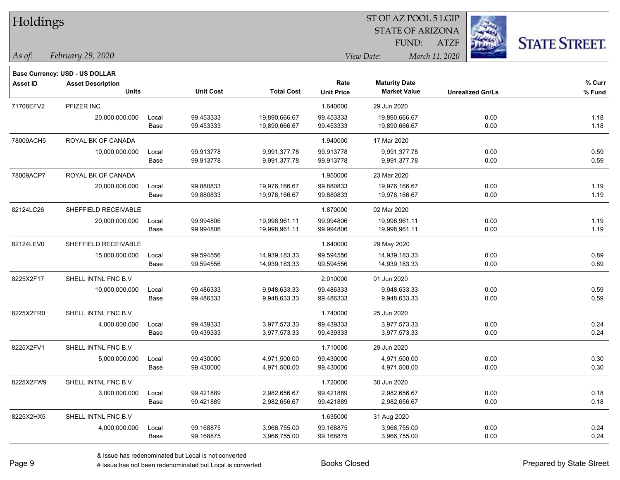| Holdings        |                                          |       |                  |                   |                   | ST OF AZ POOL 5 LGIP                        |                         |      |                      |
|-----------------|------------------------------------------|-------|------------------|-------------------|-------------------|---------------------------------------------|-------------------------|------|----------------------|
|                 |                                          |       |                  |                   |                   | <b>STATE OF ARIZONA</b>                     |                         |      |                      |
|                 |                                          |       |                  |                   |                   | FUND:                                       | <b>ATZF</b>             |      | <b>STATE STREET.</b> |
| As of:          | February 29, 2020                        |       |                  |                   |                   | View Date:                                  | March 11, 2020          |      |                      |
|                 |                                          |       |                  |                   |                   |                                             |                         |      |                      |
|                 | <b>Base Currency: USD - US DOLLAR</b>    |       |                  |                   | Rate              |                                             |                         |      |                      |
| <b>Asset ID</b> | <b>Asset Description</b><br><b>Units</b> |       | <b>Unit Cost</b> | <b>Total Cost</b> | <b>Unit Price</b> | <b>Maturity Date</b><br><b>Market Value</b> | <b>Unrealized Gn/Ls</b> |      | $%$ Curr<br>% Fund   |
| 71708EFV2       | PFIZER INC                               |       |                  |                   | 1.640000          | 29 Jun 2020                                 |                         |      |                      |
|                 | 20,000,000.000                           | Local | 99.453333        | 19,890,666.67     | 99.453333         | 19,890,666.67                               |                         | 0.00 | 1.18                 |
|                 |                                          | Base  | 99.453333        | 19,890,666.67     | 99.453333         | 19,890,666.67                               |                         | 0.00 | 1.18                 |
| 78009ACH5       | ROYAL BK OF CANADA                       |       |                  |                   | 1.940000          | 17 Mar 2020                                 |                         |      |                      |
|                 | 10,000,000.000                           | Local | 99.913778        | 9,991,377.78      | 99.913778         | 9,991,377.78                                |                         | 0.00 | 0.59                 |
|                 |                                          | Base  | 99.913778        | 9,991,377.78      | 99.913778         | 9,991,377.78                                |                         | 0.00 | 0.59                 |
| 78009ACP7       | ROYAL BK OF CANADA                       |       |                  |                   | 1.950000          | 23 Mar 2020                                 |                         |      |                      |
|                 | 20,000,000.000                           | Local | 99.880833        | 19,976,166.67     | 99.880833         | 19,976,166.67                               |                         | 0.00 | 1.19                 |
|                 |                                          | Base  | 99.880833        | 19,976,166.67     | 99.880833         | 19,976,166.67                               |                         | 0.00 | 1.19                 |
| 82124LC26       | SHEFFIELD RECEIVABLE                     |       |                  |                   | 1.870000          | 02 Mar 2020                                 |                         |      |                      |
|                 | 20,000,000.000                           | Local | 99.994806        | 19,998,961.11     | 99.994806         | 19,998,961.11                               |                         | 0.00 | 1.19                 |
|                 |                                          | Base  | 99.994806        | 19,998,961.11     | 99.994806         | 19,998,961.11                               |                         | 0.00 | 1.19                 |
| 82124LEV0       | SHEFFIELD RECEIVABLE                     |       |                  |                   | 1.640000          | 29 May 2020                                 |                         |      |                      |
|                 | 15,000,000.000                           | Local | 99.594556        | 14,939,183.33     | 99.594556         | 14,939,183.33                               |                         | 0.00 | 0.89                 |
|                 |                                          | Base  | 99.594556        | 14,939,183.33     | 99.594556         | 14,939,183.33                               |                         | 0.00 | 0.89                 |
| 8225X2F17       | SHELL INTNL FNC B.V                      |       |                  |                   | 2.010000          | 01 Jun 2020                                 |                         |      |                      |
|                 | 10,000,000.000                           | Local | 99.486333        | 9,948,633.33      | 99.486333         | 9,948,633.33                                |                         | 0.00 | 0.59                 |
|                 |                                          | Base  | 99.486333        | 9,948,633.33      | 99.486333         | 9,948,633.33                                |                         | 0.00 | 0.59                 |
| 8225X2FR0       | SHELL INTNL FNC B.V                      |       |                  |                   | 1.740000          | 25 Jun 2020                                 |                         |      |                      |
|                 | 4,000,000.000                            | Local | 99.439333        | 3,977,573.33      | 99.439333         | 3,977,573.33                                |                         | 0.00 | 0.24                 |
|                 |                                          | Base  | 99.439333        | 3,977,573.33      | 99.439333         | 3,977,573.33                                |                         | 0.00 | 0.24                 |
| 8225X2FV1       | SHELL INTNL FNC B.V                      |       |                  |                   | 1.710000          | 29 Jun 2020                                 |                         |      |                      |
|                 | 5,000,000.000                            | Local | 99.430000        | 4,971,500.00      | 99.430000         | 4,971,500.00                                |                         | 0.00 | 0.30                 |
|                 |                                          | Base  | 99.430000        | 4,971,500.00      | 99.430000         | 4,971,500.00                                |                         | 0.00 | 0.30                 |
| 8225X2FW9       | SHELL INTNL FNC B.V                      |       |                  |                   | 1.720000          | 30 Jun 2020                                 |                         |      |                      |
|                 | 3,000,000.000                            | Local | 99.421889        | 2,982,656.67      | 99.421889         | 2,982,656.67                                |                         | 0.00 | 0.18                 |
|                 |                                          | Base  | 99.421889        | 2,982,656.67      | 99.421889         | 2,982,656.67                                |                         | 0.00 | 0.18                 |
| 8225X2HX5       | SHELL INTNL FNC B.V                      |       |                  |                   | 1.635000          | 31 Aug 2020                                 |                         |      |                      |
|                 | 4,000,000.000                            | Local | 99.168875        | 3,966,755.00      | 99.168875         | 3,966,755.00                                |                         | 0.00 | 0.24                 |
|                 |                                          | Base  | 99.168875        | 3,966,755.00      | 99.168875         | 3,966,755.00                                |                         | 0.00 | 0.24                 |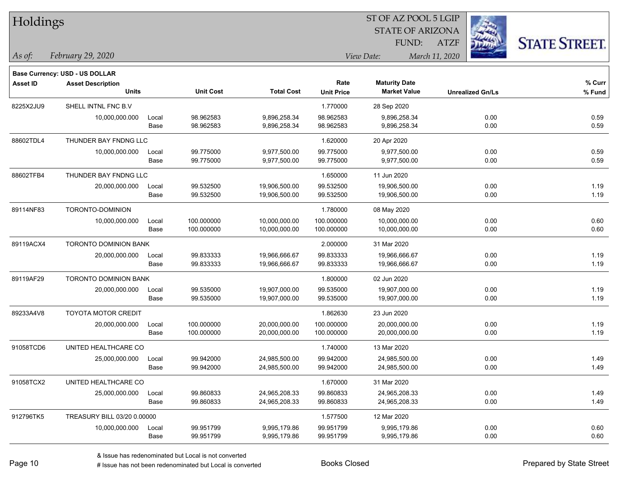| Holdings        |                                          |       |                  |                   | ST OF AZ POOL 5 LGIP      |                                             |                         |                      |  |  |
|-----------------|------------------------------------------|-------|------------------|-------------------|---------------------------|---------------------------------------------|-------------------------|----------------------|--|--|
|                 |                                          |       |                  |                   |                           | <b>STATE OF ARIZONA</b>                     |                         |                      |  |  |
|                 |                                          |       |                  |                   |                           | FUND:                                       | <b>ATZF</b>             | <b>STATE STREET.</b> |  |  |
| As of:          | February 29, 2020                        |       |                  |                   |                           | View Date:                                  | March 11, 2020          |                      |  |  |
|                 |                                          |       |                  |                   |                           |                                             |                         |                      |  |  |
|                 | Base Currency: USD - US DOLLAR           |       |                  |                   |                           |                                             |                         |                      |  |  |
| <b>Asset ID</b> | <b>Asset Description</b><br><b>Units</b> |       | <b>Unit Cost</b> | <b>Total Cost</b> | Rate<br><b>Unit Price</b> | <b>Maturity Date</b><br><b>Market Value</b> | <b>Unrealized Gn/Ls</b> | % Curr<br>% Fund     |  |  |
|                 |                                          |       |                  |                   |                           |                                             |                         |                      |  |  |
| 8225X2JU9       | SHELL INTNL FNC B.V                      |       |                  |                   | 1.770000                  | 28 Sep 2020                                 |                         |                      |  |  |
|                 | 10,000,000.000                           | Local | 98.962583        | 9,896,258.34      | 98.962583                 | 9,896,258.34                                | 0.00                    | 0.59                 |  |  |
|                 |                                          | Base  | 98.962583        | 9,896,258.34      | 98.962583                 | 9,896,258.34                                | 0.00                    | 0.59                 |  |  |
| 88602TDL4       | THUNDER BAY FNDNG LLC                    |       |                  |                   | 1.620000                  | 20 Apr 2020                                 |                         |                      |  |  |
|                 | 10,000,000.000                           | Local | 99.775000        | 9,977,500.00      | 99.775000                 | 9,977,500.00                                | 0.00                    | 0.59                 |  |  |
|                 |                                          | Base  | 99.775000        | 9,977,500.00      | 99.775000                 | 9,977,500.00                                | 0.00                    | 0.59                 |  |  |
| 88602TFB4       | THUNDER BAY FNDNG LLC                    |       |                  |                   | 1.650000                  | 11 Jun 2020                                 |                         |                      |  |  |
|                 | 20,000,000.000                           | Local | 99.532500        | 19,906,500.00     | 99.532500                 | 19,906,500.00                               | 0.00                    | 1.19                 |  |  |
|                 |                                          | Base  | 99.532500        | 19,906,500.00     | 99.532500                 | 19,906,500.00                               | 0.00                    | 1.19                 |  |  |
| 89114NF83       | TORONTO-DOMINION                         |       |                  |                   | 1.780000                  | 08 May 2020                                 |                         |                      |  |  |
|                 | 10,000,000.000                           | Local | 100.000000       | 10,000,000.00     | 100.000000                | 10,000,000.00                               | 0.00                    | 0.60                 |  |  |
|                 |                                          | Base  | 100.000000       | 10,000,000.00     | 100.000000                | 10,000,000.00                               | 0.00                    | 0.60                 |  |  |
| 89119ACX4       | TORONTO DOMINION BANK                    |       |                  |                   | 2.000000                  | 31 Mar 2020                                 |                         |                      |  |  |
|                 | 20,000,000.000                           | Local | 99.833333        | 19,966,666.67     | 99.833333                 | 19,966,666.67                               | 0.00                    | 1.19                 |  |  |
|                 |                                          | Base  | 99.833333        | 19,966,666.67     | 99.833333                 | 19,966,666.67                               | 0.00                    | 1.19                 |  |  |
| 89119AF29       | <b>TORONTO DOMINION BANK</b>             |       |                  |                   | 1.800000                  | 02 Jun 2020                                 |                         |                      |  |  |
|                 | 20,000,000.000                           | Local | 99.535000        | 19,907,000.00     | 99.535000                 | 19,907,000.00                               | 0.00                    | 1.19                 |  |  |
|                 |                                          | Base  | 99.535000        | 19,907,000.00     | 99.535000                 | 19,907,000.00                               | 0.00                    | 1.19                 |  |  |
| 89233A4V8       | <b>TOYOTA MOTOR CREDIT</b>               |       |                  |                   | 1.862630                  | 23 Jun 2020                                 |                         |                      |  |  |
|                 | 20,000,000.000                           | Local | 100.000000       | 20,000,000.00     | 100.000000                | 20,000,000.00                               | 0.00                    | 1.19                 |  |  |
|                 |                                          | Base  | 100.000000       | 20,000,000.00     | 100.000000                | 20,000,000.00                               | 0.00                    | 1.19                 |  |  |
| 91058TCD6       | UNITED HEALTHCARE CO                     |       |                  |                   | 1.740000                  | 13 Mar 2020                                 |                         |                      |  |  |
|                 | 25,000,000.000                           | Local | 99.942000        | 24,985,500.00     | 99.942000                 | 24,985,500.00                               | 0.00                    | 1.49                 |  |  |
|                 |                                          | Base  | 99.942000        | 24,985,500.00     | 99.942000                 | 24,985,500.00                               | 0.00                    | 1.49                 |  |  |
| 91058TCX2       | UNITED HEALTHCARE CO                     |       |                  |                   | 1.670000                  | 31 Mar 2020                                 |                         |                      |  |  |
|                 | 25,000,000.000                           | Local | 99.860833        | 24,965,208.33     | 99.860833                 | 24,965,208.33                               | 0.00                    | 1.49                 |  |  |
|                 |                                          | Base  | 99.860833        | 24,965,208.33     | 99.860833                 | 24,965,208.33                               | 0.00                    | 1.49                 |  |  |
| 912796TK5       | TREASURY BILL 03/20 0.00000              |       |                  |                   | 1.577500                  | 12 Mar 2020                                 |                         |                      |  |  |
|                 | 10,000,000.000                           | Local | 99.951799        | 9,995,179.86      | 99.951799                 | 9,995,179.86                                | 0.00                    | 0.60                 |  |  |
|                 |                                          | Base  | 99.951799        | 9,995,179.86      | 99.951799                 | 9,995,179.86                                | 0.00                    | 0.60                 |  |  |

٦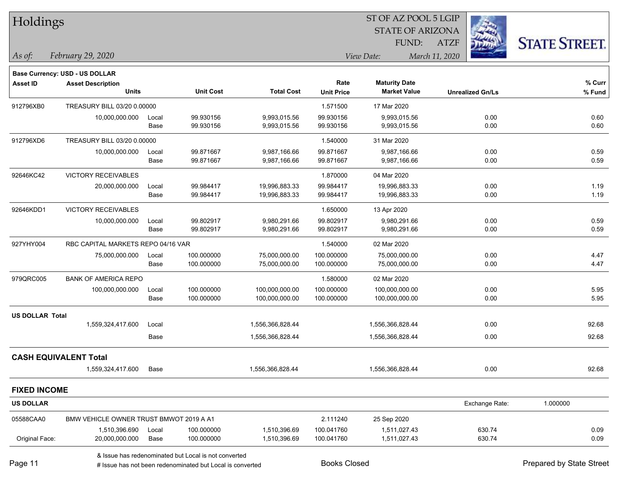| Holdings               |                                                                                                                   |               |                          |                                  |                           |                                             |                |                          |                      |
|------------------------|-------------------------------------------------------------------------------------------------------------------|---------------|--------------------------|----------------------------------|---------------------------|---------------------------------------------|----------------|--------------------------|----------------------|
|                        |                                                                                                                   |               |                          |                                  |                           | <b>STATE OF ARIZONA</b>                     |                |                          |                      |
|                        |                                                                                                                   |               |                          |                                  |                           | FUND:                                       | <b>ATZF</b>    |                          | <b>STATE STREET.</b> |
| As of:                 | February 29, 2020                                                                                                 |               |                          |                                  |                           | View Date:                                  | March 11, 2020 |                          |                      |
|                        | <b>Base Currency: USD - US DOLLAR</b>                                                                             |               |                          |                                  |                           |                                             |                |                          |                      |
| <b>Asset ID</b>        | <b>Asset Description</b><br><b>Units</b>                                                                          |               | <b>Unit Cost</b>         | <b>Total Cost</b>                | Rate<br><b>Unit Price</b> | <b>Maturity Date</b><br><b>Market Value</b> |                | <b>Unrealized Gn/Ls</b>  | % Curr<br>% Fund     |
| 912796XB0              | TREASURY BILL 03/20 0.00000                                                                                       |               |                          |                                  | 1.571500                  | 17 Mar 2020                                 |                |                          |                      |
|                        | 10,000,000.000                                                                                                    | Local<br>Base | 99.930156<br>99.930156   | 9,993,015.56<br>9,993,015.56     | 99.930156<br>99.930156    | 9,993,015.56<br>9,993,015.56                |                | 0.00<br>0.00             | 0.60<br>0.60         |
| 912796XD6              | TREASURY BILL 03/20 0.00000                                                                                       |               |                          |                                  | 1.540000                  | 31 Mar 2020                                 |                |                          |                      |
|                        | 10,000,000.000                                                                                                    | Local<br>Base | 99.871667<br>99.871667   | 9,987,166.66<br>9,987,166.66     | 99.871667<br>99.871667    | 9,987,166.66<br>9,987,166.66                |                | 0.00<br>0.00             | 0.59<br>0.59         |
| 92646KC42              | VICTORY RECEIVABLES                                                                                               |               |                          |                                  | 1.870000                  | 04 Mar 2020                                 |                |                          |                      |
|                        | 20,000,000.000                                                                                                    | Local<br>Base | 99.984417<br>99.984417   | 19,996,883.33<br>19,996,883.33   | 99.984417<br>99.984417    | 19,996,883.33<br>19,996,883.33              |                | 0.00<br>0.00             | 1.19<br>1.19         |
| 92646KDD1              | VICTORY RECEIVABLES                                                                                               |               |                          |                                  | 1.650000                  | 13 Apr 2020                                 |                |                          |                      |
|                        | 10,000,000.000                                                                                                    | Local         | 99.802917                | 9,980,291.66                     | 99.802917                 | 9,980,291.66                                |                | 0.00                     | 0.59                 |
|                        |                                                                                                                   | Base          | 99.802917                | 9,980,291.66                     | 99.802917                 | 9,980,291.66                                |                | 0.00                     | 0.59                 |
| 927YHY004              | RBC CAPITAL MARKETS REPO 04/16 VAR                                                                                |               |                          |                                  | 1.540000                  | 02 Mar 2020                                 |                |                          |                      |
|                        | 75,000,000.000                                                                                                    | Local<br>Base | 100.000000<br>100.000000 | 75,000,000.00<br>75,000,000.00   | 100.000000<br>100.000000  | 75,000,000.00<br>75,000,000.00              |                | 0.00<br>0.00             | 4.47<br>4.47         |
| 979QRC005              | <b>BANK OF AMERICA REPO</b>                                                                                       |               |                          |                                  | 1.580000                  | 02 Mar 2020                                 |                |                          |                      |
|                        | 100,000,000.000                                                                                                   | Local<br>Base | 100.000000<br>100.000000 | 100,000,000.00<br>100,000,000.00 | 100.000000<br>100.000000  | 100,000,000.00<br>100,000,000.00            |                | 0.00<br>0.00             | 5.95<br>5.95         |
| <b>US DOLLAR Total</b> |                                                                                                                   |               |                          |                                  |                           |                                             |                |                          |                      |
|                        | 1,559,324,417.600                                                                                                 | Local         |                          | 1,556,366,828.44                 |                           | 1,556,366,828.44                            |                | 0.00                     | 92.68                |
|                        |                                                                                                                   | Base          |                          | 1,556,366,828.44                 |                           | 1,556,366,828.44                            |                | 0.00                     | 92.68                |
|                        | <b>CASH EQUIVALENT Total</b>                                                                                      |               |                          |                                  |                           |                                             |                |                          |                      |
|                        | 1,559,324,417.600                                                                                                 | Base          |                          | 1,556,366,828.44                 |                           | 1,556,366,828.44                            |                | 0.00                     | 92.68                |
| <b>FIXED INCOME</b>    |                                                                                                                   |               |                          |                                  |                           |                                             |                |                          |                      |
| <b>US DOLLAR</b>       |                                                                                                                   |               |                          |                                  |                           |                                             |                | Exchange Rate:           | 1.000000             |
| 05588CAA0              | BMW VEHICLE OWNER TRUST BMWOT 2019 A A1                                                                           |               |                          |                                  | 2.111240                  | 25 Sep 2020                                 |                |                          |                      |
| Original Face:         | 1,510,396.690<br>20,000,000.000                                                                                   | Local<br>Base | 100.000000<br>100.000000 | 1,510,396.69<br>1,510,396.69     | 100.041760<br>100.041760  | 1,511,027.43<br>1,511,027.43                |                | 630.74<br>630.74         | 0.09<br>0.09         |
| Page 11                | & Issue has redenominated but Local is not converted<br># Issue has not been redenominated but Local is converted |               |                          | <b>Books Closed</b>              |                           |                                             |                | Prepared by State Street |                      |

an an

Page 11

٦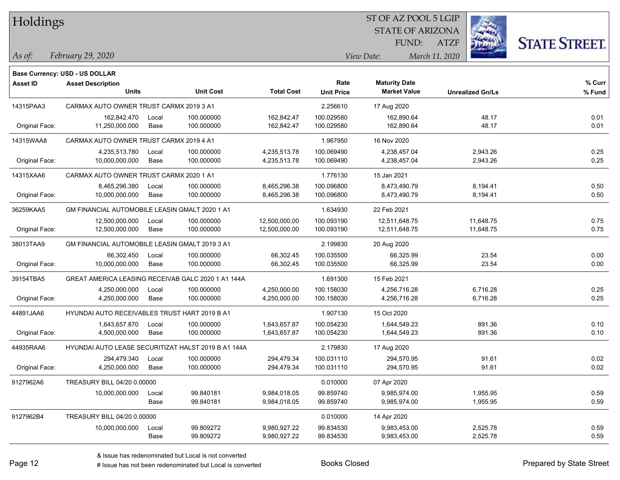| Holdings |
|----------|
|          |

## STATE OF ARIZONA ST OF AZ POOL 5 LGIP

ATZF



*February 29, 2020 As of: View Date: March 11, 2020*

**Base Currency: USD - US DOLLAR**

FUND:

| <b>Asset ID</b> | <b>Asset Description</b>                            |                     |                   | Rate              | <b>Maturity Date</b> |                         | $%$ Curr |
|-----------------|-----------------------------------------------------|---------------------|-------------------|-------------------|----------------------|-------------------------|----------|
|                 | <b>Units</b>                                        | <b>Unit Cost</b>    | <b>Total Cost</b> | <b>Unit Price</b> | <b>Market Value</b>  | <b>Unrealized Gn/Ls</b> | % Fund   |
| 14315PAA3       | CARMAX AUTO OWNER TRUST CARMX 2019 3 A1             |                     | 2.256610          | 17 Aug 2020       |                      |                         |          |
|                 | 162,842.470                                         | 100.000000<br>Local | 162,842.47        | 100.029580        | 162,890.64           | 48.17                   | 0.01     |
| Original Face:  | 11,250,000.000                                      | Base<br>100.000000  | 162,842.47        | 100.029580        | 162,890.64           | 48.17                   | 0.01     |
| 14315WAA8       | CARMAX AUTO OWNER TRUST CARMX 2019 4 A1             |                     |                   | 1.967950          | 16 Nov 2020          |                         |          |
|                 | 4,235,513.780                                       | Local<br>100.000000 | 4,235,513.78      | 100.069490        | 4,238,457.04         | 2,943.26                | 0.25     |
| Original Face:  | 10,000,000.000                                      | 100.000000<br>Base  | 4,235,513.78      | 100.069490        | 4,238,457.04         | 2,943.26                | 0.25     |
| 14315XAA6       | CARMAX AUTO OWNER TRUST CARMX 2020 1 A1             |                     |                   | 1.776130          | 15 Jan 2021          |                         |          |
|                 | 8,465,296.380                                       | 100.000000<br>Local | 8,465,296.38      | 100.096800        | 8,473,490.79         | 8,194.41                | 0.50     |
| Original Face:  | 10,000,000.000                                      | Base<br>100.000000  | 8,465,296.38      | 100.096800        | 8,473,490.79         | 8,194.41                | 0.50     |
| 36259KAA5       | GM FINANCIAL AUTOMOBILE LEASIN GMALT 2020 1 A1      |                     |                   | 1.634930          | 22 Feb 2021          |                         |          |
|                 | 12,500,000.000                                      | 100.000000<br>Local | 12,500,000.00     | 100.093190        | 12,511,648.75        | 11,648.75               | 0.75     |
| Original Face:  | 12,500,000.000                                      | 100.000000<br>Base  | 12,500,000.00     | 100.093190        | 12,511,648.75        | 11,648.75               | 0.75     |
| 38013TAA9       | GM FINANCIAL AUTOMOBILE LEASIN GMALT 2019 3 A1      |                     |                   | 2.199830          | 20 Aug 2020          |                         |          |
|                 | 66,302.450                                          | 100.000000<br>Local | 66,302.45         | 100.035500        | 66,325.99            | 23.54                   | 0.00     |
| Original Face:  | 10,000,000.000                                      | Base<br>100.000000  | 66,302.45         | 100.035500        | 66,325.99            | 23.54                   | 0.00     |
| 39154TBA5       | GREAT AMERICA LEASING RECEIVAB GALC 2020 1 A1 144A  |                     |                   | 1.691300          | 15 Feb 2021          |                         |          |
|                 | 4,250,000.000                                       | 100.000000<br>Local | 4,250,000.00      | 100.158030        | 4,256,716.28         | 6,716.28                | 0.25     |
| Original Face:  | 4,250,000.000                                       | 100.000000<br>Base  | 4,250,000.00      | 100.158030        | 4,256,716.28         | 6,716.28                | 0.25     |
| 44891JAA6       | HYUNDAI AUTO RECEIVABLES TRUST HART 2019 B A1       |                     |                   | 1.907130          | 15 Oct 2020          |                         |          |
|                 | 1,643,657.870                                       | 100.000000<br>Local | 1,643,657.87      | 100.054230        | 1,644,549.23         | 891.36                  | 0.10     |
| Original Face:  | 4,500,000.000                                       | 100.000000<br>Base  | 1,643,657.87      | 100.054230        | 1,644,549.23         | 891.36                  | 0.10     |
| 44935RAA6       | HYUNDAI AUTO LEASE SECURITIZAT HALST 2019 B A1 144A |                     |                   | 2.179830          | 17 Aug 2020          |                         |          |
|                 | 294,479.340                                         | 100.000000<br>Local | 294,479.34        | 100.031110        | 294,570.95           | 91.61                   | 0.02     |
| Original Face:  | 4,250,000.000                                       | 100.000000<br>Base  | 294,479.34        | 100.031110        | 294,570.95           | 91.61                   | 0.02     |
| 9127962A6       | TREASURY BILL 04/20 0.00000                         |                     |                   | 0.010000          | 07 Apr 2020          |                         |          |
|                 | 10,000,000.000                                      | 99.840181<br>Local  | 9,984,018.05      | 99.859740         | 9,985,974.00         | 1,955.95                | 0.59     |
|                 |                                                     | Base<br>99.840181   | 9,984,018.05      | 99.859740         | 9,985,974.00         | 1,955.95                | 0.59     |
| 9127962B4       | TREASURY BILL 04/20 0.00000                         |                     |                   | 0.010000          | 14 Apr 2020          |                         |          |
|                 | 10,000,000.000                                      | 99.809272<br>Local  | 9,980,927.22      | 99.834530         | 9,983,453.00         | 2,525.78                | 0.59     |
|                 |                                                     | Base<br>99.809272   | 9,980,927.22      | 99.834530         | 9,983,453.00         | 2,525.78                | 0.59     |

A ISSUE ISSUE ISSUE ISSUE ISSUE ISSUE ISSUE ISSUE ISSUE ISSUE ISSUE ISSUE ISSUE ISSUE ISSUE ISSUE ISSUE ISSUE I<br>
# Issue has not been redenominated but Local is converted **BOOKS** Closed **Prepared by State Street**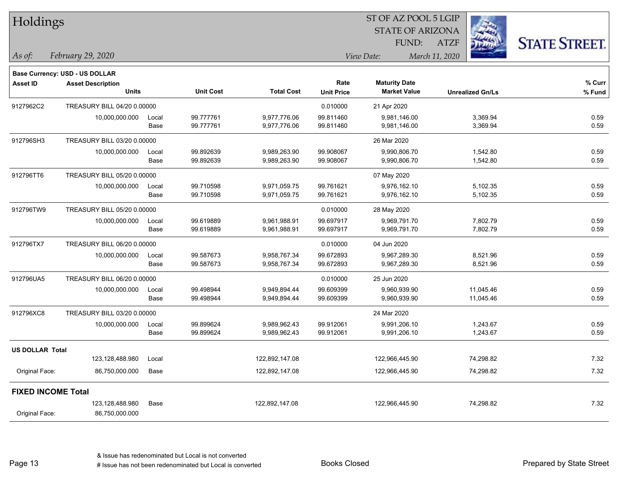| Holdings                  |                                |       |                  |                   |                   | 51 OF AZ POOL 5 LGIP    |                         |                      |  |
|---------------------------|--------------------------------|-------|------------------|-------------------|-------------------|-------------------------|-------------------------|----------------------|--|
|                           |                                |       |                  |                   |                   | <b>STATE OF ARIZONA</b> |                         |                      |  |
|                           |                                |       |                  |                   |                   | FUND:                   | <b>ATZF</b>             | <b>STATE STREET.</b> |  |
| As of:                    | February 29, 2020              |       |                  |                   |                   | View Date:              | March 11, 2020          |                      |  |
|                           |                                |       |                  |                   |                   |                         |                         |                      |  |
|                           | Base Currency: USD - US DOLLAR |       |                  |                   |                   |                         |                         |                      |  |
| Asset ID                  | <b>Asset Description</b>       |       |                  |                   | Rate              | <b>Maturity Date</b>    |                         | % Curr               |  |
|                           | <b>Units</b>                   |       | <b>Unit Cost</b> | <b>Total Cost</b> | <b>Unit Price</b> | <b>Market Value</b>     | <b>Unrealized Gn/Ls</b> | $%$ Fund             |  |
| 9127962C2                 | TREASURY BILL 04/20 0.00000    |       |                  |                   | 0.010000          | 21 Apr 2020             |                         |                      |  |
|                           | 10,000,000.000                 | Local | 99.777761        | 9,977,776.06      | 99.811460         | 9,981,146.00            | 3,369.94                | 0.59                 |  |
|                           |                                | Base  | 99.777761        | 9,977,776.06      | 99.811460         | 9,981,146.00            | 3,369.94                | 0.59                 |  |
| 912796SH3                 | TREASURY BILL 03/20 0.00000    |       |                  |                   |                   | 26 Mar 2020             |                         |                      |  |
|                           | 10,000,000.000                 | Local | 99.892639        | 9,989,263.90      | 99.908067         | 9,990,806.70            | 1,542.80                | 0.59                 |  |
|                           |                                | Base  | 99.892639        | 9,989,263.90      | 99.908067         | 9,990,806.70            | 1,542.80                | 0.59                 |  |
| 912796TT6                 | TREASURY BILL 05/20 0.00000    |       |                  |                   |                   | 07 May 2020             |                         |                      |  |
|                           | 10,000,000.000                 | Local | 99.710598        | 9,971,059.75      | 99.761621         | 9,976,162.10            | 5,102.35                | 0.59                 |  |
|                           |                                | Base  | 99.710598        | 9,971,059.75      | 99.761621         | 9,976,162.10            | 5,102.35                | 0.59                 |  |
| 912796TW9                 | TREASURY BILL 05/20 0.00000    |       |                  |                   | 0.010000          | 28 May 2020             |                         |                      |  |
|                           | 10,000,000.000                 | Local | 99.619889        | 9,961,988.91      | 99.697917         | 9,969,791.70            | 7,802.79                | 0.59                 |  |
|                           |                                | Base  | 99.619889        | 9,961,988.91      | 99.697917         | 9,969,791.70            | 7,802.79                | 0.59                 |  |
| 912796TX7                 | TREASURY BILL 06/20 0.00000    |       |                  |                   | 0.010000          | 04 Jun 2020             |                         |                      |  |
|                           | 10,000,000.000                 | Local | 99.587673        | 9,958,767.34      | 99.672893         | 9,967,289.30            | 8,521.96                | 0.59                 |  |
|                           |                                | Base  | 99.587673        | 9,958,767.34      | 99.672893         | 9,967,289.30            | 8,521.96                | 0.59                 |  |
| 912796UA5                 | TREASURY BILL 06/20 0.00000    |       |                  |                   | 0.010000          | 25 Jun 2020             |                         |                      |  |
|                           | 10,000,000.000                 | Local | 99.498944        | 9,949,894.44      | 99.609399         | 9,960,939.90            | 11,045.46               | 0.59                 |  |
|                           |                                | Base  | 99.498944        | 9,949,894.44      | 99.609399         | 9,960,939.90            | 11,045.46               | 0.59                 |  |
| 912796XC8                 | TREASURY BILL 03/20 0.00000    |       |                  |                   |                   | 24 Mar 2020             |                         |                      |  |
|                           | 10,000,000.000                 | Local | 99.899624        | 9,989,962.43      | 99.912061         | 9,991,206.10            | 1,243.67                | 0.59                 |  |
|                           |                                | Base  | 99.899624        | 9,989,962.43      | 99.912061         | 9,991,206.10            | 1,243.67                | 0.59                 |  |
| <b>US DOLLAR Total</b>    |                                |       |                  |                   |                   |                         |                         |                      |  |
|                           | 123,128,488.980                | Local |                  | 122,892,147.08    |                   | 122,966,445.90          | 74,298.82               | 7.32                 |  |
| Original Face:            | 86,750,000.000                 | Base  |                  | 122,892,147.08    |                   | 122,966,445.90          | 74,298.82               | 7.32                 |  |
| <b>FIXED INCOME Total</b> |                                |       |                  |                   |                   |                         |                         |                      |  |
|                           | 123,128,488.980                | Base  |                  | 122,892,147.08    |                   | 122,966,445.90          | 74,298.82               | 7.32                 |  |
| Original Face:            | 86,750,000.000                 |       |                  |                   |                   |                         |                         |                      |  |
|                           |                                |       |                  |                   |                   |                         |                         |                      |  |

Page 13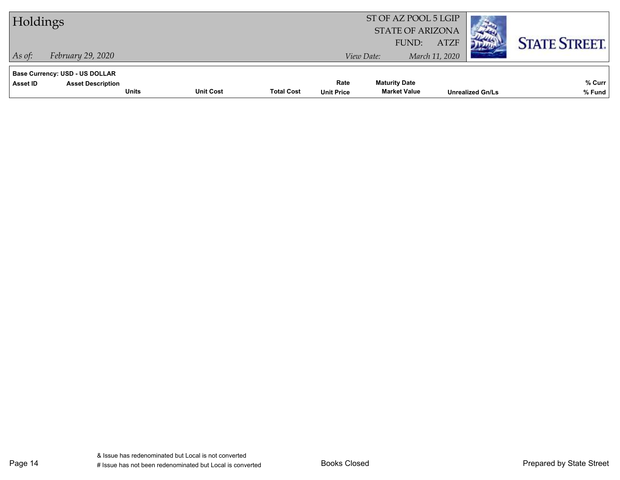| Holdings                                                                                      |                  |                   |                           | ST OF AZ POOL 5 LGIP<br><b>STATE OF ARIZONA</b> |                               |                         |                      |
|-----------------------------------------------------------------------------------------------|------------------|-------------------|---------------------------|-------------------------------------------------|-------------------------------|-------------------------|----------------------|
| February 29, 2020<br>$As$ of:                                                                 |                  |                   |                           | FUND:<br>View Date:                             | <b>ATZF</b><br>March 11, 2020 |                         | <b>STATE STREET.</b> |
| <b>Base Currency: USD - US DOLLAR</b><br>Asset ID<br><b>Asset Description</b><br><b>Units</b> | <b>Unit Cost</b> | <b>Total Cost</b> | Rate<br><b>Unit Price</b> | <b>Maturity Date</b><br><b>Market Value</b>     |                               | <b>Unrealized Gn/Ls</b> | % Curr<br>% Fund     |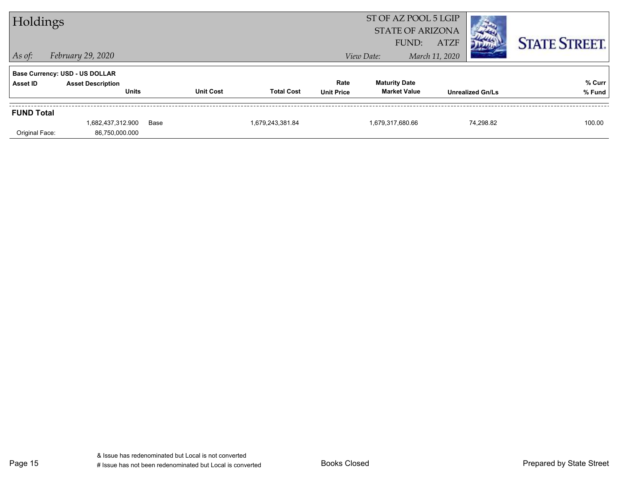| Holdings                              |                                          |      |                  |                   |                           | ST OF AZ POOL 5 LGIP<br><b>STATE OF ARIZONA</b><br><b>ATZF</b><br>FUND: |                |                         | <b>STATE STREET.</b> |
|---------------------------------------|------------------------------------------|------|------------------|-------------------|---------------------------|-------------------------------------------------------------------------|----------------|-------------------------|----------------------|
| $\vert$ As of:                        | February 29, 2020                        |      |                  |                   |                           | View Date:                                                              | March 11, 2020 |                         |                      |
| <b>Base Currency: USD - US DOLLAR</b> |                                          |      |                  |                   |                           |                                                                         |                |                         |                      |
| <b>Asset ID</b>                       | <b>Asset Description</b><br><b>Units</b> |      | <b>Unit Cost</b> | <b>Total Cost</b> | Rate<br><b>Unit Price</b> | <b>Maturity Date</b><br><b>Market Value</b>                             |                | <b>Unrealized Gn/Ls</b> | % Curr<br>% Fund     |
| <b>FUND Total</b>                     |                                          |      |                  |                   |                           |                                                                         |                |                         |                      |
| Original Face:                        | 1,682,437,312.900<br>86,750,000.000      | Base |                  | 1,679,243,381.84  |                           | 1,679,317,680.66                                                        |                | 74.298.82               | 100.00               |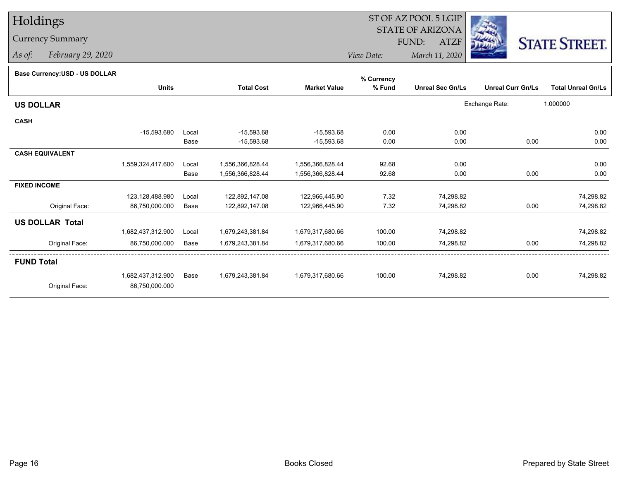# Holdings

## Currency Summary

*As of: February 29, 2020*

#### ST OF AZ POOL 5 LGIP STATE OF ARIZONAATZF FUND:



*View Date:March 11, 2020*

#### **Base Currency:USD - US DOLLAR**

|                        |                   |       |                   |                     |        | % Currency              |                          |                           |
|------------------------|-------------------|-------|-------------------|---------------------|--------|-------------------------|--------------------------|---------------------------|
|                        | <b>Units</b>      |       | <b>Total Cost</b> | <b>Market Value</b> | % Fund | <b>Unreal Sec Gn/Ls</b> | <b>Unreal Curr Gn/Ls</b> | <b>Total Unreal Gn/Ls</b> |
| <b>US DOLLAR</b>       |                   |       |                   |                     |        |                         | Exchange Rate:           | 1.000000                  |
| <b>CASH</b>            |                   |       |                   |                     |        |                         |                          |                           |
|                        | $-15,593.680$     | Local | $-15,593.68$      | $-15,593.68$        | 0.00   | 0.00                    |                          | 0.00                      |
|                        |                   | Base  | $-15,593.68$      | $-15,593.68$        | 0.00   | 0.00                    | 0.00                     | 0.00                      |
| <b>CASH EQUIVALENT</b> |                   |       |                   |                     |        |                         |                          |                           |
|                        | 1,559,324,417.600 | Local | 1,556,366,828.44  | 1,556,366,828.44    | 92.68  | 0.00                    |                          | 0.00                      |
|                        |                   | Base  | 1,556,366,828.44  | 1,556,366,828.44    | 92.68  | 0.00                    | 0.00                     | 0.00                      |
| <b>FIXED INCOME</b>    |                   |       |                   |                     |        |                         |                          |                           |
|                        | 123,128,488.980   | Local | 122,892,147.08    | 122,966,445.90      | 7.32   | 74,298.82               |                          | 74,298.82                 |
| Original Face:         | 86,750,000.000    | Base  | 122,892,147.08    | 122,966,445.90      | 7.32   | 74,298.82               | 0.00                     | 74,298.82                 |
| <b>US DOLLAR Total</b> |                   |       |                   |                     |        |                         |                          |                           |
|                        | 1,682,437,312.900 | Local | 1,679,243,381.84  | 1,679,317,680.66    | 100.00 | 74,298.82               |                          | 74,298.82                 |
| Original Face:         | 86,750,000.000    | Base  | 1,679,243,381.84  | 1,679,317,680.66    | 100.00 | 74,298.82               | 0.00                     | 74,298.82                 |
| <b>FUND Total</b>      |                   |       |                   |                     |        |                         |                          |                           |
|                        | 1,682,437,312.900 | Base  | 1,679,243,381.84  | 1,679,317,680.66    | 100.00 | 74,298.82               | 0.00                     | 74,298.82                 |
| Original Face:         | 86,750,000.000    |       |                   |                     |        |                         |                          |                           |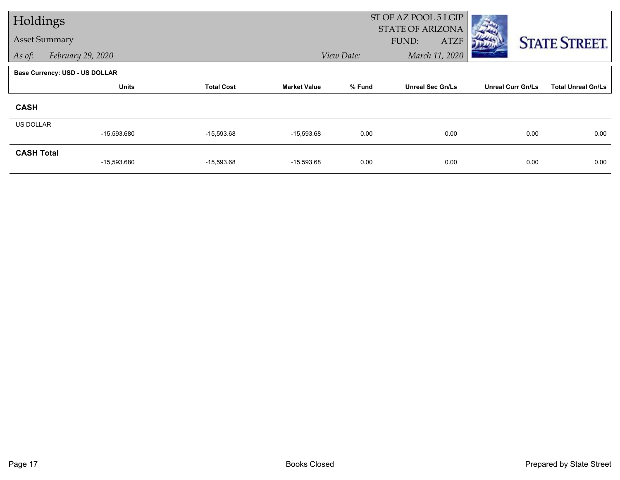| Holdings             |                                       |                   |                     | ST OF AZ POOL 5 LGIP<br><b>STATE OF ARIZONA</b> |                         |                          |                           |  |
|----------------------|---------------------------------------|-------------------|---------------------|-------------------------------------------------|-------------------------|--------------------------|---------------------------|--|
| <b>Asset Summary</b> |                                       |                   |                     |                                                 | FUND:<br><b>ATZF</b>    |                          | <b>STATE STREET.</b>      |  |
| As of:               | February 29, 2020                     |                   |                     | View Date:                                      | March 11, 2020          |                          |                           |  |
|                      | <b>Base Currency: USD - US DOLLAR</b> |                   |                     |                                                 |                         |                          |                           |  |
|                      | <b>Units</b>                          | <b>Total Cost</b> | <b>Market Value</b> | % Fund                                          | <b>Unreal Sec Gn/Ls</b> | <b>Unreal Curr Gn/Ls</b> | <b>Total Unreal Gn/Ls</b> |  |
| <b>CASH</b>          |                                       |                   |                     |                                                 |                         |                          |                           |  |
| <b>US DOLLAR</b>     | $-15,593.680$                         | $-15,593.68$      | $-15,593.68$        | 0.00                                            | 0.00                    | 0.00                     | 0.00                      |  |
| <b>CASH Total</b>    | $-15,593.680$                         | $-15,593.68$      | $-15,593.68$        | 0.00                                            | 0.00                    | 0.00                     | 0.00                      |  |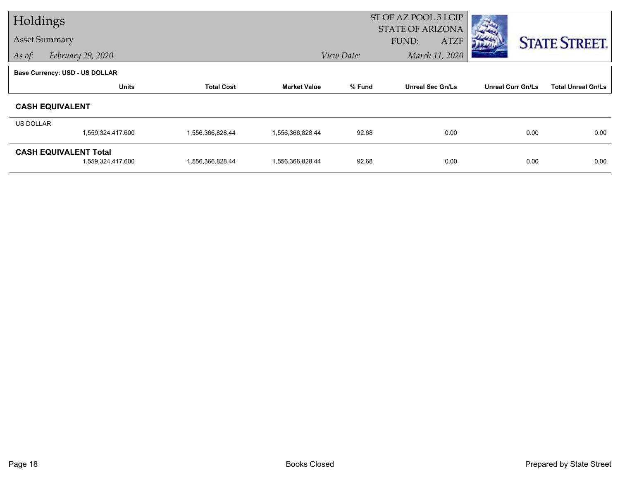| Holdings             |                                                   |                   |                     |            | ST OF AZ POOL 5 LGIP<br><b>STATE OF ARIZONA</b> |                          |                           |  |
|----------------------|---------------------------------------------------|-------------------|---------------------|------------|-------------------------------------------------|--------------------------|---------------------------|--|
| <b>Asset Summary</b> |                                                   |                   |                     |            | FUND:<br><b>ATZF</b>                            |                          | <b>STATE STREET.</b>      |  |
| As of:               | February 29, 2020                                 |                   |                     | View Date: | March 11, 2020                                  |                          |                           |  |
|                      | <b>Base Currency: USD - US DOLLAR</b>             |                   |                     |            |                                                 |                          |                           |  |
|                      | <b>Units</b>                                      | <b>Total Cost</b> | <b>Market Value</b> | % Fund     | <b>Unreal Sec Gn/Ls</b>                         | <b>Unreal Curr Gn/Ls</b> | <b>Total Unreal Gn/Ls</b> |  |
|                      | <b>CASH EQUIVALENT</b>                            |                   |                     |            |                                                 |                          |                           |  |
| US DOLLAR            |                                                   |                   |                     |            |                                                 |                          |                           |  |
|                      | 1,559,324,417.600                                 | 1,556,366,828.44  | 1,556,366,828.44    | 92.68      | 0.00                                            | 0.00                     | 0.00                      |  |
|                      | <b>CASH EQUIVALENT Total</b><br>1,559,324,417.600 | 1,556,366,828.44  | 1,556,366,828.44    | 92.68      | 0.00                                            | 0.00                     | 0.00                      |  |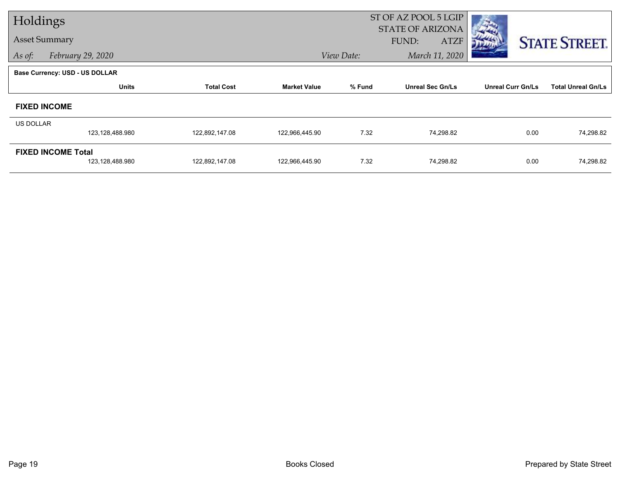| Holdings                  |                                       |                   |                     | ST OF AZ POOL 5 LGIP<br><b>STATE OF ARIZONA</b> |                             |                          |                           |  |
|---------------------------|---------------------------------------|-------------------|---------------------|-------------------------------------------------|-----------------------------|--------------------------|---------------------------|--|
| <b>Asset Summary</b>      |                                       |                   |                     |                                                 | <b>ATZF</b><br><b>FUND:</b> |                          | <b>STATE STREET.</b>      |  |
| As of:                    | February 29, 2020                     |                   |                     | View Date:                                      | March 11, 2020              |                          |                           |  |
|                           | <b>Base Currency: USD - US DOLLAR</b> |                   |                     |                                                 |                             |                          |                           |  |
|                           | <b>Units</b>                          | <b>Total Cost</b> | <b>Market Value</b> | % Fund                                          | <b>Unreal Sec Gn/Ls</b>     | <b>Unreal Curr Gn/Ls</b> | <b>Total Unreal Gn/Ls</b> |  |
|                           | <b>FIXED INCOME</b>                   |                   |                     |                                                 |                             |                          |                           |  |
| US DOLLAR                 |                                       |                   |                     |                                                 |                             |                          |                           |  |
|                           | 123,128,488.980                       | 122,892,147.08    | 122,966,445.90      | 7.32                                            | 74,298.82                   | 0.00                     | 74,298.82                 |  |
| <b>FIXED INCOME Total</b> |                                       |                   |                     |                                                 |                             |                          |                           |  |
|                           | 123,128,488.980                       | 122,892,147.08    | 122,966,445.90      | 7.32                                            | 74,298.82                   | 0.00                     | 74,298.82                 |  |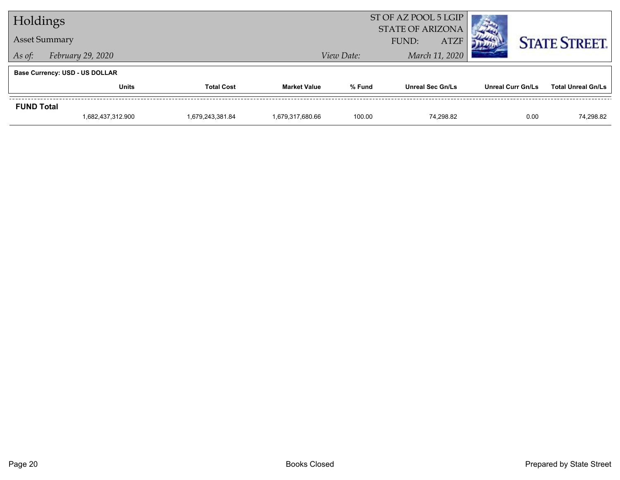| Holdings          |                                       |                   |                     | ST OF AZ POOL 5 LGIP<br><b>STATE OF ARIZONA</b> |                         |                          |                           |
|-------------------|---------------------------------------|-------------------|---------------------|-------------------------------------------------|-------------------------|--------------------------|---------------------------|
|                   | <b>Asset Summary</b>                  |                   |                     |                                                 | FUND:<br><b>ATZF</b>    |                          | <b>STATE STREET.</b>      |
| As of:            | February 29, 2020                     |                   |                     | View Date:                                      | March 11, 2020          |                          |                           |
|                   | <b>Base Currency: USD - US DOLLAR</b> |                   |                     |                                                 |                         |                          |                           |
|                   | <b>Units</b>                          | <b>Total Cost</b> | <b>Market Value</b> | % Fund                                          | <b>Unreal Sec Gn/Ls</b> | <b>Unreal Curr Gn/Ls</b> | <b>Total Unreal Gn/Ls</b> |
| <b>FUND Total</b> |                                       |                   |                     |                                                 |                         |                          |                           |
|                   | 1,682,437,312.900                     | 1.679.243.381.84  | 1.679.317.680.66    | 100.00                                          | 74.298.82               | 0.00                     | 74,298.82                 |